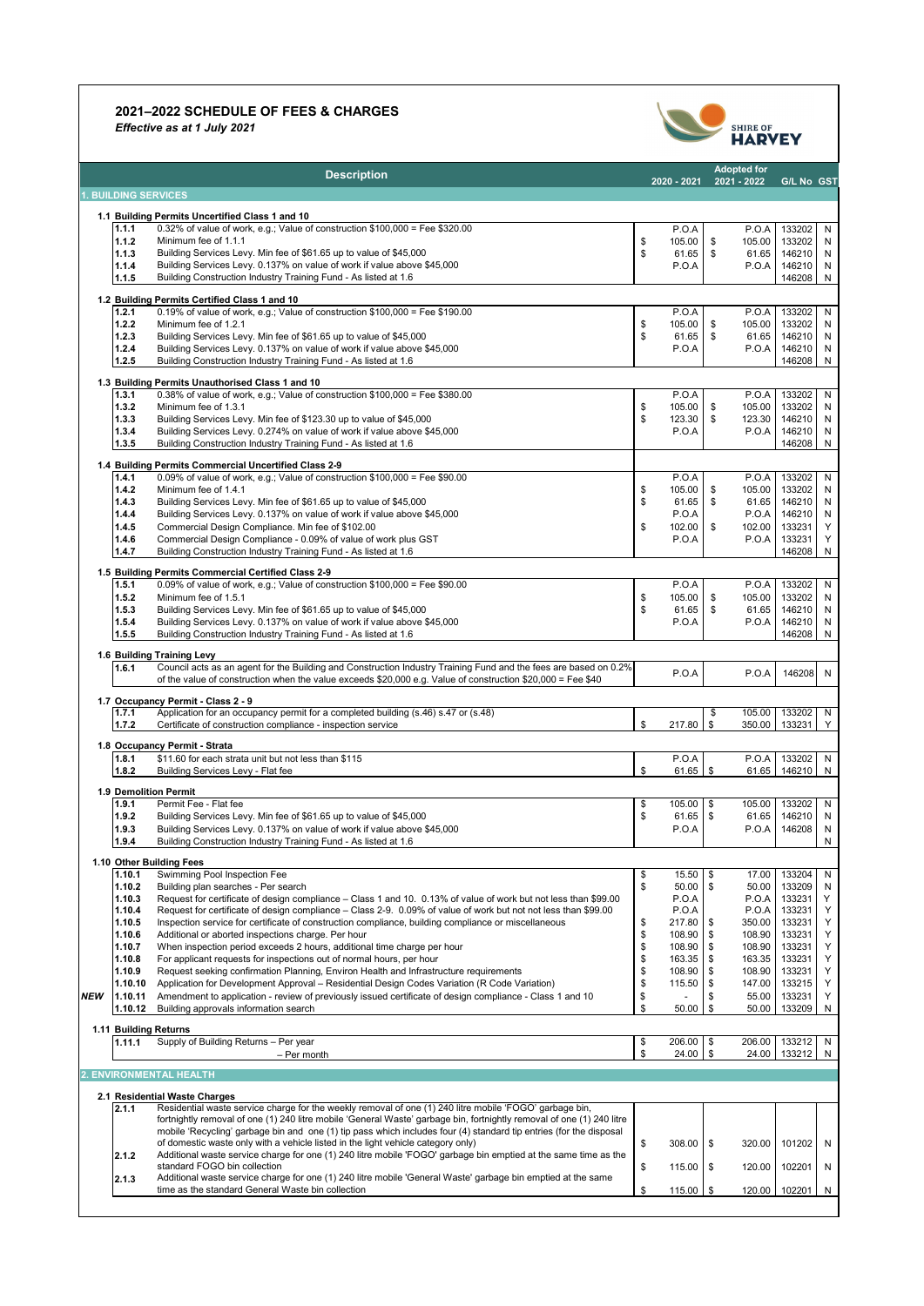

|     |                       | <b>Description</b>                                                                                                                                                                                                                          |             |                  |          | <b>Adopted for</b> |                    |              |
|-----|-----------------------|---------------------------------------------------------------------------------------------------------------------------------------------------------------------------------------------------------------------------------------------|-------------|------------------|----------|--------------------|--------------------|--------------|
|     |                       |                                                                                                                                                                                                                                             | 2020 - 2021 |                  |          | 2021 - 2022        | G/L No GST         |              |
|     | 1. BUILDING SERVICES  |                                                                                                                                                                                                                                             |             |                  |          |                    |                    |              |
|     |                       | 1.1 Building Permits Uncertified Class 1 and 10                                                                                                                                                                                             |             |                  |          |                    |                    |              |
|     | 1.1.1<br>1.1.2        | $0.32\%$ of value of work, e.g.; Value of construction \$100,000 = Fee \$320.00<br>Minimum fee of 1.1.1                                                                                                                                     | \$          | P.O.A<br>105.00  | \$       | P.O.A<br>105.00    | 133202<br>133202   | N<br>N       |
|     | 1.1.3                 | Building Services Levy. Min fee of \$61.65 up to value of \$45,000                                                                                                                                                                          | \$          | 61.65            | \$       | 61.65              | 146210             | $\mathsf{N}$ |
|     | 1.1.4                 | Building Services Levy. 0.137% on value of work if value above \$45,000                                                                                                                                                                     |             | P.O.A            |          | P.O.A              | 146210             | N            |
|     | 1.1.5                 | Building Construction Industry Training Fund - As listed at 1.6                                                                                                                                                                             |             |                  |          |                    | 146208             | N            |
|     |                       | 1.2 Building Permits Certified Class 1 and 10                                                                                                                                                                                               |             |                  |          |                    |                    |              |
|     | 1.2.1                 | $0.19\%$ of value of work, e.g.; Value of construction \$100,000 = Fee \$190.00<br>Minimum fee of 1.2.1                                                                                                                                     |             | P.O.A            |          | P.O.A              | 133202             | N            |
|     | 1.2.2<br>1.2.3        | Building Services Levy. Min fee of \$61.65 up to value of \$45,000                                                                                                                                                                          | \$<br>\$    | 105.00<br>61.65  | \$<br>\$ | 105.00<br>61.65    | 133202<br>146210 N | N            |
|     | 1.2.4                 | Building Services Levy. 0.137% on value of work if value above \$45,000                                                                                                                                                                     |             | P.O.A            |          | P.O.A              | 146210             | N            |
|     | 1.2.5                 | Building Construction Industry Training Fund - As listed at 1.6                                                                                                                                                                             |             |                  |          |                    | 146208             | N            |
|     |                       | 1.3 Building Permits Unauthorised Class 1 and 10                                                                                                                                                                                            |             |                  |          |                    |                    |              |
|     | 1.3.1                 | $0.38\%$ of value of work, e.g.; Value of construction \$100,000 = Fee \$380.00                                                                                                                                                             |             | P.O.A            |          | P.O.A              | 133202             | N            |
|     | 1.3.2<br>1.3.3        | Minimum fee of 1.3.1                                                                                                                                                                                                                        | \$<br>\$    | 105.00<br>123.30 | \$<br>\$ | 105.00<br>123.30   | 133202<br>146210 N | N            |
|     | 1.3.4                 | Building Services Levy. Min fee of \$123.30 up to value of \$45,000<br>Building Services Levy. 0.274% on value of work if value above \$45,000                                                                                              |             | P.O.A            |          | P.O.A              | 146210             | N            |
|     | 1.3.5                 | Building Construction Industry Training Fund - As listed at 1.6                                                                                                                                                                             |             |                  |          |                    | 146208             | N            |
|     |                       | 1.4 Building Permits Commercial Uncertified Class 2-9                                                                                                                                                                                       |             |                  |          |                    |                    |              |
|     | 1.4.1                 | 0.09% of value of work, e.g.; Value of construction \$100,000 = Fee \$90.00                                                                                                                                                                 |             | P.O.A            |          | P.O.A              | 133202             | N            |
|     | 1.4.2                 | Minimum fee of 1.4.1                                                                                                                                                                                                                        | \$          | 105.00           | \$       | 105.00             | 133202             | $\mathsf{N}$ |
|     | 1.4.3<br>1.4.4        | Building Services Levy. Min fee of \$61.65 up to value of \$45,000                                                                                                                                                                          | \$          | 61.65            | \$       | 61.65              | 146210<br>146210   | N            |
|     | 1.4.5                 | Building Services Levy. 0.137% on value of work if value above \$45,000<br>Commercial Design Compliance. Min fee of \$102.00                                                                                                                | \$          | P.O.A<br>102.00  | \$       | P.O.A<br>102.00    | 133231             | N<br>Y       |
|     | 1.4.6                 | Commercial Design Compliance - 0.09% of value of work plus GST                                                                                                                                                                              |             | P.O.A            |          | P.O.A              | 133231             | Y            |
|     | 1.4.7                 | Building Construction Industry Training Fund - As listed at 1.6                                                                                                                                                                             |             |                  |          |                    | 146208             | N            |
|     |                       | 1.5 Building Permits Commercial Certified Class 2-9                                                                                                                                                                                         |             |                  |          |                    |                    |              |
|     | 1.5.1                 | 0.09% of value of work, e.g.; Value of construction $$100,000 =$ Fee $$90.00$                                                                                                                                                               |             | P.O.A            |          | P.O.A              | 133202             | $\mathsf{N}$ |
|     | 1.5.2                 | Minimum fee of 1.5.1                                                                                                                                                                                                                        | \$          | 105.00           | \$       | 105.00             | 133202             | N            |
|     | 1.5.3<br>1.5.4        | Building Services Levy. Min fee of \$61.65 up to value of \$45,000<br>Building Services Levy. 0.137% on value of work if value above \$45,000                                                                                               | \$          | 61.65<br>P.O.A   | \$       | 61.65<br>P.O.A     | 146210<br>146210   | N<br>N       |
|     | 1.5.5                 | Building Construction Industry Training Fund - As listed at 1.6                                                                                                                                                                             |             |                  |          |                    | 146208             | N            |
|     |                       | 1.6 Building Training Levy                                                                                                                                                                                                                  |             |                  |          |                    |                    |              |
|     | 1.6.1                 | Council acts as an agent for the Building and Construction Industry Training Fund and the fees are based on 0.2%                                                                                                                            |             |                  |          |                    |                    |              |
|     |                       | of the value of construction when the value exceeds \$20,000 e.g. Value of construction \$20,000 = Fee \$40                                                                                                                                 |             | P.O.A            |          | P.O.A              | 146208             | $\mathsf{N}$ |
|     |                       | 1.7 Occupancy Permit - Class 2 - 9                                                                                                                                                                                                          |             |                  |          |                    |                    |              |
|     | 1.7.1                 | Application for an occupancy permit for a completed building (s.46) s.47 or (s.48)                                                                                                                                                          |             |                  | \$       | 105.00             | 133202             | N            |
|     | 1.7.2                 | Certificate of construction compliance - inspection service                                                                                                                                                                                 | \$          | 217.80           | \$       | 350.00             | 133231             | Υ            |
|     |                       | 1.8 Occupancy Permit - Strata                                                                                                                                                                                                               |             |                  |          |                    |                    |              |
|     | 1.8.1                 | \$11.60 for each strata unit but not less than \$115                                                                                                                                                                                        |             | P.O.A            |          | P.O.A              | 133202             | N            |
|     | 1.8.2                 | Building Services Levy - Flat fee                                                                                                                                                                                                           | \$          | 61.65            | \$       | 61.65              | 146210             | N            |
|     |                       | 1.9 Demolition Permit                                                                                                                                                                                                                       |             |                  |          |                    |                    |              |
|     | 1.9.1                 | Permit Fee - Flat fee                                                                                                                                                                                                                       | \$<br>\$    | 105.00           | \$       | 105.00<br>61.65    | 133202<br>146210   | N            |
|     | 1.9.2<br>1.9.3        | Building Services Levy. Min fee of \$61.65 up to value of \$45,000<br>Building Services Levy. 0.137% on value of work if value above \$45,000                                                                                               |             | 61.65<br>P.O.A   | \$       | P.O.A              | 146208             | N<br>N       |
|     | 1.9.4                 | Building Construction Industry Training Fund - As listed at 1.6                                                                                                                                                                             |             |                  |          |                    |                    | N            |
|     |                       | 1.10 Other Building Fees                                                                                                                                                                                                                    |             |                  |          |                    |                    |              |
|     | 1.10.1                | Swimming Pool Inspection Fee                                                                                                                                                                                                                | \$          | 15.50            | \$       | 17.00              | 133204             | N            |
|     | 1.10.2                | Building plan searches - Per search                                                                                                                                                                                                         | \$          | 50.00            | \$       | 50.00              | 133209             | N            |
|     | 1.10.3<br>1.10.4      | Request for certificate of design compliance - Class 1 and 10. 0.13% of value of work but not less than \$99.00<br>Request for certificate of design compliance - Class 2-9. 0.09% of value of work but not not less than \$99.00           |             | P.O.A<br>P.O.A   |          | P.O.A<br>P.O.A     | 133231<br>133231   | Y<br>Υ       |
|     | 1.10.5                | Inspection service for certificate of construction compliance, building compliance or miscellaneous                                                                                                                                         | \$          | 217.80           | \$       | 350.00             | 133231             | Y            |
|     | 1.10.6                | Additional or aborted inspections charge. Per hour                                                                                                                                                                                          | \$          | 108.90           | \$       | 108.90             | 133231             | Υ            |
|     | 1.10.7                | When inspection period exceeds 2 hours, additional time charge per hour                                                                                                                                                                     | \$          | 108.90           | \$       | 108.90             | 133231             | Υ<br>Y       |
|     | 1.10.8<br>1.10.9      | For applicant requests for inspections out of normal hours, per hour<br>Request seeking confirmation Planning, Environ Health and Infrastructure requirements                                                                               | \$<br>\$    | 163.35<br>108.90 | \$<br>\$ | 163.35<br>108.90   | 133231<br>133231   | Υ            |
|     | 1.10.10               | Application for Development Approval - Residential Design Codes Variation (R Code Variation)                                                                                                                                                | \$          | 115.50           | \$       | 147.00             | 133215             | Y            |
| NEW | 1.10.11               | Amendment to application - review of previously issued certificate of design compliance - Class 1 and 10                                                                                                                                    | \$          |                  | \$       | 55.00              | 133231             | Υ            |
|     | 1.10.12               | Building approvals information search                                                                                                                                                                                                       | \$          | 50.00            | \$       | 50.00              | 133209             | N            |
|     | 1.11 Building Returns |                                                                                                                                                                                                                                             |             |                  |          |                    |                    |              |
|     | 1.11.1                | Supply of Building Returns - Per year                                                                                                                                                                                                       | \$          | 206.00           | \$       | 206.00             | 133212             | N            |
|     |                       | - Per month                                                                                                                                                                                                                                 | \$          | 24.00            | \$       | 24.00              | 133212             | N            |
|     |                       | 2. ENVIRONMENTAL HEALTH                                                                                                                                                                                                                     |             |                  |          |                    |                    |              |
|     |                       | 2.1 Residential Waste Charges                                                                                                                                                                                                               |             |                  |          |                    |                    |              |
|     | 2.1.1                 | Residential waste service charge for the weekly removal of one (1) 240 litre mobile 'FOGO' garbage bin,                                                                                                                                     |             |                  |          |                    |                    |              |
|     |                       | fortnightly removal of one (1) 240 litre mobile 'General Waste' garbage bin, fortnightly removal of one (1) 240 litre<br>mobile 'Recycling' garbage bin and one (1) tip pass which includes four (4) standard tip entries (for the disposal |             |                  |          |                    |                    |              |
|     |                       | of domestic waste only with a vehicle listed in the light vehicle category only)                                                                                                                                                            | \$          | 308.00           | \$       | 320.00             | 101202             | N            |
|     | 2.1.2                 | Additional waste service charge for one (1) 240 litre mobile 'FOGO' garbage bin emptied at the same time as the                                                                                                                             |             |                  |          |                    |                    |              |
|     | 2.1.3                 | standard FOGO bin collection<br>Additional waste service charge for one (1) 240 litre mobile 'General Waste' garbage bin emptied at the same                                                                                                | \$          | 115.00           | \$       | 120.00             | 102201             | $\mathsf{N}$ |
|     |                       | time as the standard General Waste bin collection                                                                                                                                                                                           | \$          | $115.00$ \$      |          | 120.00             | 102201             | N            |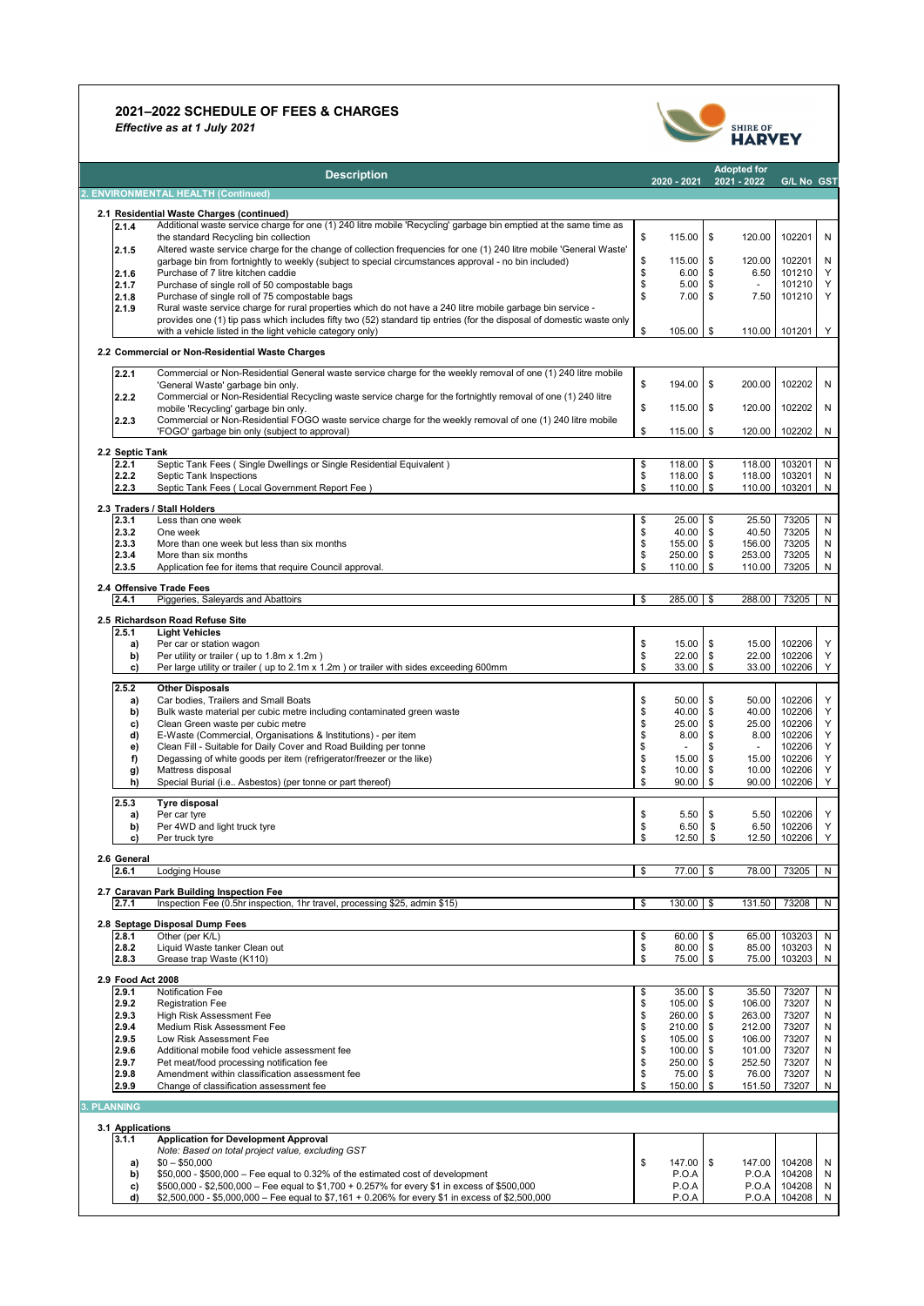

|                      | <b>Description</b>                                                                                                                                                                                                         | 2020 - 2021                  | <b>Adopted for</b><br>2021 - 2022 | G/L No GS1       |        |
|----------------------|----------------------------------------------------------------------------------------------------------------------------------------------------------------------------------------------------------------------------|------------------------------|-----------------------------------|------------------|--------|
|                      | 2. ENVIRONMENTAL HEALTH (Continued)                                                                                                                                                                                        |                              |                                   |                  |        |
|                      | 2.1 Residential Waste Charges (continued)                                                                                                                                                                                  |                              |                                   |                  |        |
| 2.1.4                | Additional waste service charge for one (1) 240 litre mobile 'Recycling' garbage bin emptied at the same time as                                                                                                           |                              |                                   |                  |        |
|                      | the standard Recycling bin collection                                                                                                                                                                                      | \$<br>115.00                 | \$<br>120.00                      | 102201           | N      |
| 2.1.5                | Altered waste service charge for the change of collection frequencies for one (1) 240 litre mobile 'General Waste'<br>garbage bin from fortnightly to weekly (subject to special circumstances approval - no bin included) | \$<br>115.00                 | \$<br>120.00                      | 102201           | N      |
| 2.1.6                | Purchase of 7 litre kitchen caddie                                                                                                                                                                                         | \$<br>6.00                   | \$<br>6.50                        | 101210           | Υ      |
| 2.1.7                | Purchase of single roll of 50 compostable bags                                                                                                                                                                             | \$<br>5.00                   | \$                                | 101210           | Y      |
| 2.1.8                | Purchase of single roll of 75 compostable bags                                                                                                                                                                             | \$<br>7.00                   | \$<br>7.50                        | 101210           | Y      |
| 2.1.9                | Rural waste service charge for rural properties which do not have a 240 litre mobile garbage bin service -                                                                                                                 |                              |                                   |                  |        |
|                      | provides one (1) tip pass which includes fifty two (52) standard tip entries (for the disposal of domestic waste only<br>with a vehicle listed in the light vehicle category only)                                         | \$<br>105.00                 | \$<br>110.00                      | 101201           | Y      |
|                      | 2.2 Commercial or Non-Residential Waste Charges                                                                                                                                                                            |                              |                                   |                  |        |
|                      |                                                                                                                                                                                                                            |                              |                                   |                  |        |
| 2.2.1                | Commercial or Non-Residential General waste service charge for the weekly removal of one (1) 240 litre mobile<br>'General Waste' garbage bin only.                                                                         | \$<br>194.00                 | \$<br>200.00                      | 102202           | N      |
| 2.2.2                | Commercial or Non-Residential Recycling waste service charge for the fortnightly removal of one (1) 240 litre                                                                                                              |                              |                                   |                  |        |
|                      | mobile 'Recycling' garbage bin only.                                                                                                                                                                                       | \$<br>115.00                 | \$<br>120.00                      | 102202           | N      |
| 2.2.3                | Commercial or Non-Residential FOGO waste service charge for the weekly removal of one (1) 240 litre mobile                                                                                                                 |                              |                                   |                  |        |
|                      | 'FOGO' garbage bin only (subject to approval)                                                                                                                                                                              | \$<br>115.00                 | \$<br>120.00                      | 102202           | N      |
| 2.2 Septic Tank      |                                                                                                                                                                                                                            |                              |                                   |                  |        |
| 2.2.1                | Septic Tank Fees (Single Dwellings or Single Residential Equivalent)                                                                                                                                                       | \$<br>118.00                 | \$<br>118.00                      | 103201           | N      |
| 2.2.2                | Septic Tank Inspections<br>Septic Tank Fees (Local Government Report Fee)                                                                                                                                                  | \$<br>118.00<br>\$           | 118.00<br>\$<br>\$                | 103201           | N      |
| 2.2.3                |                                                                                                                                                                                                                            | 110.00                       | 110.00                            | 103201           | N      |
|                      | 2.3 Traders / Stall Holders                                                                                                                                                                                                |                              |                                   |                  |        |
| 2.3.1                | Less than one week                                                                                                                                                                                                         | \$<br>25.00                  | \$<br>25.50                       | 73205            | N      |
| 2.3.2                | One week<br>More than one week but less than six months                                                                                                                                                                    | \$<br>40.00                  | 40.50<br>\$                       | 73205            | N      |
| 2.3.3<br>2.3.4       | More than six months                                                                                                                                                                                                       | \$<br>155.00<br>\$<br>250.00 | \$<br>156.00<br>\$<br>253.00      | 73205<br>73205   | N<br>N |
| 2.3.5                | Application fee for items that require Council approval.                                                                                                                                                                   | \$<br>110.00                 | \$<br>110.00                      | 73205            | N      |
|                      |                                                                                                                                                                                                                            |                              |                                   |                  |        |
| 2.4.1                | 2.4 Offensive Trade Fees<br>Piggeries, Saleyards and Abattoirs                                                                                                                                                             | \$<br>285.00                 | \$<br>288.00                      | 73205            | N      |
|                      |                                                                                                                                                                                                                            |                              |                                   |                  |        |
|                      | 2.5 Richardson Road Refuse Site                                                                                                                                                                                            |                              |                                   |                  |        |
| 2.5.1                | <b>Light Vehicles</b>                                                                                                                                                                                                      |                              |                                   |                  |        |
| a)<br>b)             | Per car or station wagon<br>Per utility or trailer (up to 1.8m x 1.2m)                                                                                                                                                     | \$<br>15.00<br>\$<br>22.00   | \$<br>15.00<br>22.00<br>\$        | 102206<br>102206 | Y<br>Y |
| c)                   | Per large utility or trailer (up to 2.1m x 1.2m) or trailer with sides exceeding 600mm                                                                                                                                     | \$<br>33.00                  | \$<br>33.00                       | 102206           | Y      |
|                      |                                                                                                                                                                                                                            |                              |                                   |                  |        |
| 2.5.2                | <b>Other Disposals</b>                                                                                                                                                                                                     | 50.00                        | 50.00                             | 102206           |        |
| a)<br>b)             | Car bodies, Trailers and Small Boats<br>Bulk waste material per cubic metre including contaminated green waste                                                                                                             | \$<br>\$<br>40.00            | \$<br>40.00<br>\$                 | 102206           | Y<br>Y |
| c)                   | Clean Green waste per cubic metre                                                                                                                                                                                          | \$<br>25.00                  | 25.00<br>\$                       | 102206           | Y      |
| d)                   | E-Waste (Commercial, Organisations & Institutions) - per item                                                                                                                                                              | \$<br>8.00                   | \$<br>8.00                        | 102206           | Y      |
| e)                   | Clean Fill - Suitable for Daily Cover and Road Building per tonne                                                                                                                                                          | \$                           | \$                                | 102206           | Y      |
| f)                   | Degassing of white goods per item (refrigerator/freezer or the like)                                                                                                                                                       | \$<br>15.00                  | 15.00<br>\$                       | 102206           | Y      |
| g)<br>h)             | Mattress disposal<br>Special Burial (i.e Asbestos) (per tonne or part thereof)                                                                                                                                             | \$<br>10.00<br>\$<br>90.00   | \$<br>10.00<br>\$<br>90.00        | 102206<br>102206 | Υ<br>Υ |
|                      |                                                                                                                                                                                                                            |                              |                                   |                  |        |
| 2.5.3                | Tyre disposal                                                                                                                                                                                                              |                              |                                   |                  |        |
| a)<br>b)             | Per car tvre<br>Per 4WD and light truck tyre                                                                                                                                                                               | \$<br>5.50<br>\$<br>6.50     | \$<br>5.50<br>\$<br>6.50          | 102206<br>102206 | Y<br>Y |
| c)                   | Per truck tyre                                                                                                                                                                                                             | \$<br>12.50                  | \$<br>12.50                       | 102206           | Υ      |
|                      |                                                                                                                                                                                                                            |                              |                                   |                  |        |
| 2.6 General<br>2.6.1 | Lodging House                                                                                                                                                                                                              | \$<br>77.00 \$               | 78.00                             | 73205            | N      |
|                      |                                                                                                                                                                                                                            |                              |                                   |                  |        |
|                      | 2.7 Caravan Park Building Inspection Fee                                                                                                                                                                                   |                              |                                   |                  |        |
| 2.7.1                | Inspection Fee (0.5hr inspection, 1hr travel, processing \$25, admin \$15)                                                                                                                                                 | 130.00 \$<br>\$              | 131.50                            | 73208            | N      |
|                      | 2.8 Septage Disposal Dump Fees                                                                                                                                                                                             |                              |                                   |                  |        |
| 2.8.1                | Other (per K/L)                                                                                                                                                                                                            | 60.00<br>\$                  | 65.00<br>\$                       | 103203           | N      |
| 2.8.2                | Liquid Waste tanker Clean out                                                                                                                                                                                              | \$<br>80.00<br>\$<br>75.00   | \$<br>85.00<br>\$<br>75.00        | 103203           | N      |
| 2.8.3                | Grease trap Waste (K110)                                                                                                                                                                                                   |                              |                                   | 103203           | N      |
| 2.9 Food Act 2008    |                                                                                                                                                                                                                            |                              |                                   |                  |        |
| 2.9.1                | Notification Fee                                                                                                                                                                                                           | 35.00<br>\$                  | 35.50<br>\$                       | 73207            | Ν      |
| 2.9.2<br>2.9.3       | <b>Registration Fee</b><br><b>High Risk Assessment Fee</b>                                                                                                                                                                 | \$<br>105.00<br>260.00       | 106.00<br>\$<br>263.00            | 73207<br>73207   | N      |
| 2.9.4                | Medium Risk Assessment Fee                                                                                                                                                                                                 | \$<br>\$<br>210.00           | \$<br>212.00<br>\$                | 73207            | N<br>N |
| 2.9.5                | Low Risk Assessment Fee                                                                                                                                                                                                    | \$<br>105.00                 | 106.00<br>\$                      | 73207            | N      |
| 2.9.6                | Additional mobile food vehicle assessment fee                                                                                                                                                                              | \$<br>100.00                 | \$<br>101.00                      | 73207            | Ν      |
| 2.9.7                | Pet meat/food processing notification fee                                                                                                                                                                                  | \$<br>250.00                 | 252.50<br>\$                      | 73207            | N      |
| 2.9.8                | Amendment within classification assessment fee                                                                                                                                                                             | \$<br>75.00<br>S             | \$<br>76.00<br>\$                 | 73207            | Ν      |
| 2.9.9                | Change of classification assessment fee                                                                                                                                                                                    | 150.00                       | 151.50                            | 73207            | N      |
| <b>3. PLANNING</b>   |                                                                                                                                                                                                                            |                              |                                   |                  |        |
| 3.1 Applications     |                                                                                                                                                                                                                            |                              |                                   |                  |        |
| 3.1.1                | <b>Application for Development Approval</b>                                                                                                                                                                                |                              |                                   |                  |        |
|                      | Note: Based on total project value, excluding GST                                                                                                                                                                          |                              |                                   |                  |        |
| a)                   | $$0 - $50,000$                                                                                                                                                                                                             | \$<br>147.00                 | 147.00<br>\$                      | 104208           | N      |
| b)                   | \$50,000 - \$500,000 - Fee equal to 0.32% of the estimated cost of development<br>\$500,000 - \$2,500,000 - Fee equal to \$1,700 + 0.257% for every \$1 in excess of \$500,000                                             | P.O.A<br>P.O.A               | P.O.A<br>P.O.A                    | 104208<br>104208 | N<br>N |
| C)<br>d)             | \$2,500,000 - \$5,000,000 - Fee equal to \$7,161 + 0.206% for every \$1 in excess of \$2,500,000                                                                                                                           | P.O.A                        | P.O.A                             | 104208           | N      |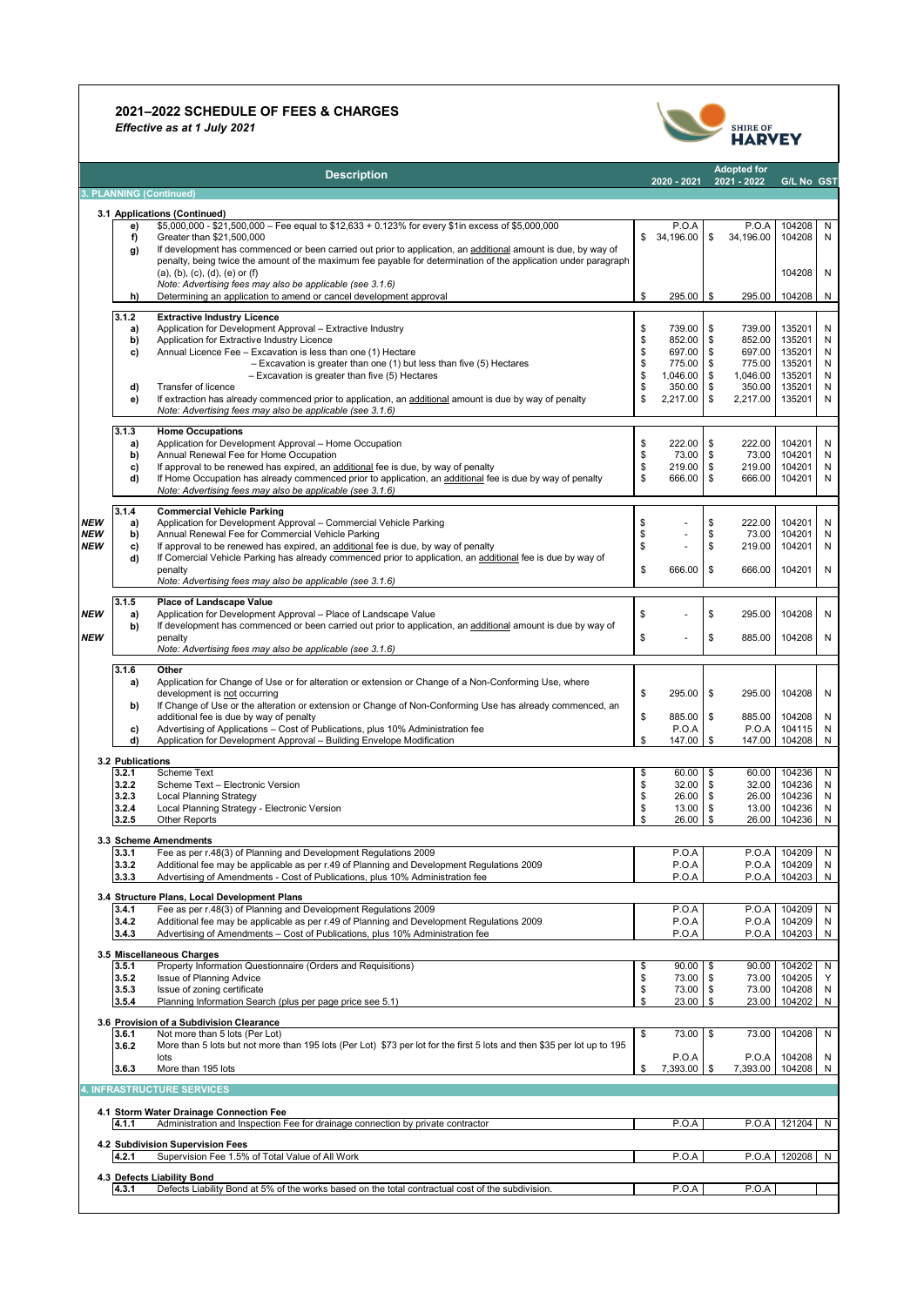

|            |                  | <b>Description</b>                                                                                                              |          | 2020 - 2021     |          | <b>Adopted for</b><br>2021 - 2022 | G/L No GST       |   |
|------------|------------------|---------------------------------------------------------------------------------------------------------------------------------|----------|-----------------|----------|-----------------------------------|------------------|---|
|            |                  | <b>PLANNING (Continued)</b>                                                                                                     |          |                 |          |                                   |                  |   |
|            |                  | 3.1 Applications (Continued)                                                                                                    |          |                 |          |                                   |                  |   |
|            | e)               | \$5,000,000 - \$21,500,000 - Fee equal to \$12,633 + 0.123% for every \$1in excess of \$5,000,000                               |          | P.O.A           |          | P.O.A                             | 104208           | N |
|            | f)               | Greater than \$21,500,000                                                                                                       |          | \$34,196.00     | \$       | 34,196.00                         | 104208           | N |
|            | g)               | If development has commenced or been carried out prior to application, an additional amount is due, by way of                   |          |                 |          |                                   |                  |   |
|            |                  | penalty, being twice the amount of the maximum fee payable for determination of the application under paragraph                 |          |                 |          |                                   |                  |   |
|            |                  | $(a), (b), (c), (d), (e)$ or $(f)$                                                                                              |          |                 |          |                                   | 104208           | N |
|            |                  | Note: Advertising fees may also be applicable (see 3.1.6)                                                                       |          |                 |          |                                   |                  |   |
|            | h)               | Determining an application to amend or cancel development approval                                                              | \$       | 295.00          | \$       | 295.00                            | 104208           | N |
|            | 3.1.2            | <b>Extractive Industry Licence</b>                                                                                              |          |                 |          |                                   |                  |   |
|            | a)               | Application for Development Approval - Extractive Industry                                                                      | \$       | 739.00          | \$       | 739.00                            | 135201           | Ν |
|            | b)               | Application for Extractive Industry Licence                                                                                     | \$       | 852.00          | \$       | 852.00                            | 135201           | Ν |
|            | C)               | Annual Licence Fee - Excavation is less than one (1) Hectare                                                                    | \$       | 697.00          | \$       | 697.00                            | 135201           | Ν |
|            |                  | $-$ Excavation is greater than one (1) but less than five (5) Hectares                                                          | \$       | 775.00          | \$       | 775.00                            | 135201           | N |
|            |                  | - Excavation is greater than five (5) Hectares                                                                                  | \$       | 1,046.00        | \$       | 1.046.00                          | 135201           | N |
|            | d)               | Transfer of licence                                                                                                             | \$<br>\$ | 350.00          | \$       | 350.00                            | 135201           | Ν |
|            | e)               | If extraction has already commenced prior to application, an additional amount is due by way of penalty                         |          | 2,217.00        | - \$     | 2,217.00                          | 135201           | N |
|            |                  | Note: Advertising fees may also be applicable (see 3.1.6)                                                                       |          |                 |          |                                   |                  |   |
|            | 3.1.3            | <b>Home Occupations</b>                                                                                                         |          |                 |          |                                   |                  |   |
|            | a)               | Application for Development Approval - Home Occupation                                                                          | \$       | 222.00          | \$       | 222.00                            | 104201           | Ν |
|            | b)               | Annual Renewal Fee for Home Occupation                                                                                          | \$       | 73.00           | \$       | 73.00                             | 104201           | N |
|            | C)               | If approval to be renewed has expired, an additional fee is due, by way of penalty                                              | \$       | 219.00          | \$       | 219.00                            | 104201           | N |
|            | d)               | If Home Occupation has already commenced prior to application, an additional fee is due by way of penalty                       | \$       | 666.00          | \$       | 666.00                            | 104201           | N |
|            |                  | Note: Advertising fees may also be applicable (see 3.1.6)                                                                       |          |                 |          |                                   |                  |   |
|            | 3.1.4            | <b>Commercial Vehicle Parking</b>                                                                                               |          |                 |          |                                   |                  |   |
| <b>NEW</b> | a)               | Application for Development Approval - Commercial Vehicle Parking                                                               | \$       |                 | \$       | 222.00                            | 104201           | N |
| <b>NEW</b> | b)               | Annual Renewal Fee for Commercial Vehicle Parking                                                                               | \$       |                 | \$       | 73.00                             | 104201           | N |
| <b>NEW</b> | C)               | If approval to be renewed has expired, an additional fee is due, by way of penalty                                              | \$       |                 | \$       | 219.00                            | 104201           | N |
|            | d)               | If Comercial Vehicle Parking has already commenced prior to application, an additional fee is due by way of                     |          |                 |          |                                   |                  |   |
|            |                  | penalty                                                                                                                         | \$       | 666.00          | \$       | 666.00                            | 104201           | N |
|            |                  | Note: Advertising fees may also be applicable (see 3.1.6)                                                                       |          |                 |          |                                   |                  |   |
|            | 3.1.5            | <b>Place of Landscape Value</b>                                                                                                 |          |                 |          |                                   |                  |   |
| <b>NEW</b> | a)               | Application for Development Approval - Place of Landscape Value                                                                 | \$       |                 | \$       | 295.00                            | 104208           | N |
|            | b)               | If development has commenced or been carried out prior to application, an additional amount is due by way of                    |          |                 |          |                                   |                  |   |
| <b>NEW</b> |                  | penalty                                                                                                                         | \$       |                 | \$       | 885.00                            | 104208           | N |
|            |                  | Note: Advertising fees may also be applicable (see 3.1.6)                                                                       |          |                 |          |                                   |                  |   |
|            |                  |                                                                                                                                 |          |                 |          |                                   |                  |   |
|            | 3.1.6            | Other                                                                                                                           |          |                 |          |                                   |                  |   |
|            | a)               | Application for Change of Use or for alteration or extension or Change of a Non-Conforming Use, where                           |          |                 |          |                                   |                  |   |
|            |                  | development is not occurring                                                                                                    | \$       | 295.00          | \$       | 295.00                            | 104208           | N |
|            | b)               | If Change of Use or the alteration or extension or Change of Non-Conforming Use has already commenced, an                       | \$       |                 | \$       | 885.00                            | 104208           | N |
|            | C)               | additional fee is due by way of penalty<br>Advertising of Applications - Cost of Publications, plus 10% Administration fee      |          | 885.00<br>P.O.A |          | P.O.A                             | 104115           | N |
|            | d)               | Application for Development Approval - Building Envelope Modification                                                           | \$       | 147.00          | \$       | 147.00                            | 104208           | N |
|            |                  |                                                                                                                                 |          |                 |          |                                   |                  |   |
|            | 3.2 Publications |                                                                                                                                 |          |                 |          |                                   |                  |   |
|            | 3.2.1            | <b>Scheme Text</b>                                                                                                              | \$       | 60.00           | \$       | 60.00                             | 104236           | N |
|            | 3.2.2            | Scheme Text - Electronic Version                                                                                                | \$       | 32.00           | \$       | 32.00                             | 104236           | N |
|            | 3.2.3            | <b>Local Planning Strategy</b>                                                                                                  | \$       | 26.00           | \$       | 26.00                             | 104236 N         |   |
|            | 3.2.4            | Local Planning Strategy - Electronic Version                                                                                    | \$<br>\$ | 13.00           | \$<br>\$ | 13.00                             | 104236           | N |
|            | 3.2.5            | <b>Other Reports</b>                                                                                                            |          | 26.00           |          | 26.00                             | 104236           | N |
|            |                  | 3.3 Scheme Amendments                                                                                                           |          |                 |          |                                   |                  |   |
|            | 3.3.1            | Fee as per r.48(3) of Planning and Development Regulations 2009                                                                 |          | P.O.A           |          |                                   | P.O.A   104209 N |   |
|            | 3.3.2            | Additional fee may be applicable as per r.49 of Planning and Development Regulations 2009                                       |          | P.O.A           |          | P.O.A                             | 104209           | N |
|            | 3.3.3            | Advertising of Amendments - Cost of Publications, plus 10% Administration fee                                                   |          | P.O.A           |          | P.O.A                             | 104203           | N |
|            |                  | 3.4 Structure Plans, Local Development Plans                                                                                    |          |                 |          |                                   |                  |   |
|            | 3.4.1            | Fee as per r.48(3) of Planning and Development Regulations 2009                                                                 |          | P.O.A           |          | P.O.A                             | 104209           | N |
|            | 3.4.2            | Additional fee may be applicable as per r.49 of Planning and Development Regulations 2009                                       |          | P.O.A           |          | P.O.A                             | 104209           | N |
|            | 3.4.3            | Advertising of Amendments - Cost of Publications, plus 10% Administration fee                                                   |          | P.O.A           |          | P.O.A                             | 104203           | N |
|            |                  |                                                                                                                                 |          |                 |          |                                   |                  |   |
|            |                  | 3.5 Miscellaneous Charges                                                                                                       |          |                 |          |                                   |                  |   |
|            | 3.5.1            | Property Information Questionnaire (Orders and Requisitions)                                                                    | \$       | 90.00           | \$       | 90.00                             | 104202           | Ν |
|            | 3.5.2            | Issue of Planning Advice                                                                                                        | \$       | 73.00           | \$       | 73.00                             | 104205           | Υ |
|            | 3.5.3            | Issue of zoning certificate                                                                                                     | \$       | 73.00           | \$       | 73.00                             | 104208           | N |
|            | 3.5.4            | Planning Information Search (plus per page price see 5.1)                                                                       | \$       | 23.00           | \$       | 23.00                             | 104202           | N |
|            |                  | 3.6 Provision of a Subdivision Clearance                                                                                        |          |                 |          |                                   |                  |   |
|            | 3.6.1            | Not more than 5 lots (Per Lot)                                                                                                  | \$       | 73.00           | \$       | 73.00                             | 104208           | N |
|            | 3.6.2            | More than 5 lots but not more than 195 lots (Per Lot) \$73 per lot for the first 5 lots and then \$35 per lot up to 195         |          |                 |          |                                   |                  |   |
|            |                  | lots                                                                                                                            |          | P.O.A           |          | P.O.A                             | 104208           | N |
|            | 3.6.3            | More than 195 lots                                                                                                              | \$       | 7,393.00        | \$       | 7,393.00                          | 104208           | N |
|            |                  |                                                                                                                                 |          |                 |          |                                   |                  |   |
|            |                  | <b>INFRASTRUCTURE SERVICES</b>                                                                                                  |          |                 |          |                                   |                  |   |
|            |                  | 4.1 Storm Water Drainage Connection Fee                                                                                         |          |                 |          |                                   |                  |   |
|            | 4.1.1            | Administration and Inspection Fee for drainage connection by private contractor                                                 |          | P.O.A           |          |                                   | P.O.A 121204     | N |
|            |                  |                                                                                                                                 |          |                 |          |                                   |                  |   |
|            |                  | 4.2 Subdivision Supervision Fees                                                                                                |          |                 |          |                                   |                  |   |
|            | 4.2.1            | Supervision Fee 1.5% of Total Value of All Work                                                                                 |          | P.O.A           |          | P.O.A                             | 120208           | N |
|            |                  |                                                                                                                                 |          |                 |          |                                   |                  |   |
|            | 4.3.1            | 4.3 Defects Liability Bond<br>Defects Liability Bond at 5% of the works based on the total contractual cost of the subdivision. |          | P.O.A           |          | P.O.A                             |                  |   |
|            |                  |                                                                                                                                 |          |                 |          |                                   |                  |   |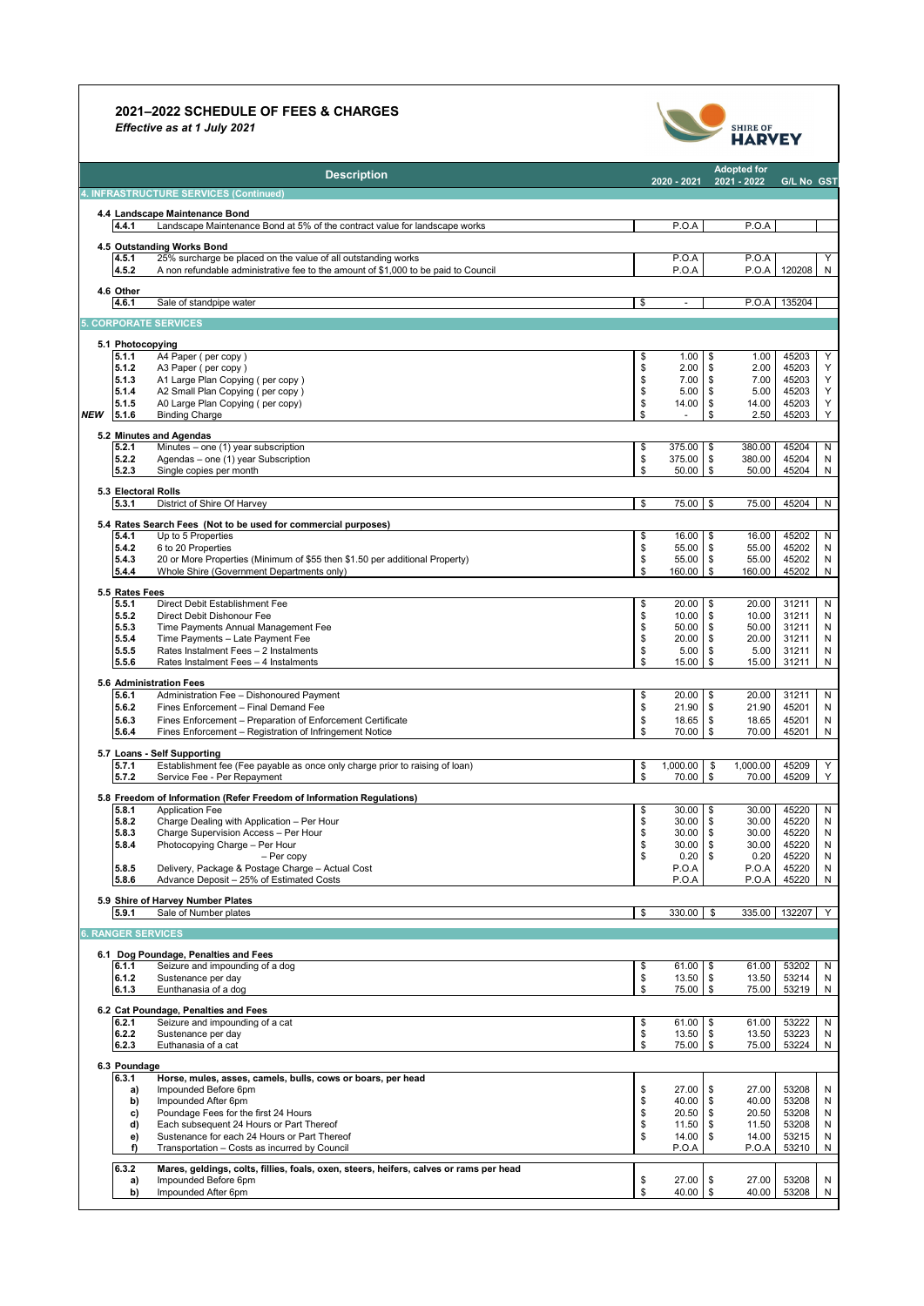$\overline{\phantom{a}}$ 



|            |                              | <b>Description</b>                                                                                                    |          | 2020 - 2021      | <b>Adopted for</b><br>$2021 - 2022$ | G/L No GST     |                        |
|------------|------------------------------|-----------------------------------------------------------------------------------------------------------------------|----------|------------------|-------------------------------------|----------------|------------------------|
|            |                              | 4. INFRASTRUCTURE SERVICES (Continued)                                                                                |          |                  |                                     |                |                        |
|            |                              | 4.4 Landscape Maintenance Bond                                                                                        |          |                  |                                     |                |                        |
|            | 4.4.1                        | Landscape Maintenance Bond at 5% of the contract value for landscape works                                            |          | P.O.A            | P.O.A                               |                |                        |
|            |                              | 4.5 Outstanding Works Bond                                                                                            |          |                  |                                     |                |                        |
|            | 4.5.1                        | 25% surcharge be placed on the value of all outstanding works                                                         |          | P.O.A            | P.O.A                               |                | Y                      |
|            | 4.5.2                        | A non refundable administrative fee to the amount of \$1,000 to be paid to Council                                    |          | P.O.A            | P.O.A                               | 120208         | N                      |
|            |                              |                                                                                                                       |          |                  |                                     |                |                        |
|            | 4.6 Other<br>4.6.1           | Sale of standpipe water                                                                                               | \$       |                  |                                     | P.O.A 135204   |                        |
|            |                              |                                                                                                                       |          |                  |                                     |                |                        |
|            |                              | <b>5. CORPORATE SERVICES</b>                                                                                          |          |                  |                                     |                |                        |
|            | 5.1 Photocopying             |                                                                                                                       |          |                  |                                     |                |                        |
|            | 5.1.1                        | A4 Paper (per copy)                                                                                                   | \$       | 1.00             | 1.00<br>\$                          | 45203          | Y                      |
|            | 5.1.2                        | A3 Paper (per copy)                                                                                                   | \$       | 2.00             | \$<br>2.00                          | 45203          | Υ                      |
|            | 5.1.3                        | A1 Large Plan Copying (per copy)                                                                                      | \$       | 7.00             | 7.00<br>\$                          | 45203          | Y                      |
|            | 5.1.4<br>5.1.5               | A2 Small Plan Copying (per copy)                                                                                      | \$<br>\$ | 5.00<br>14.00    | \$<br>5.00<br>\$<br>14.00           | 45203<br>45203 | Y<br>Y                 |
| <b>NEW</b> | 5.1.6                        | A0 Large Plan Copying (per copy)<br><b>Binding Charge</b>                                                             | \$       |                  | \$<br>2.50                          | 45203          | Y                      |
|            |                              |                                                                                                                       |          |                  |                                     |                |                        |
|            |                              | 5.2 Minutes and Agendas<br>Minutes - one (1) year subscription                                                        |          |                  |                                     | 45204          | ${\sf N}$              |
|            | 5.2.1<br>5.2.2               | Agendas - one (1) year Subscription                                                                                   | \$<br>\$ | 375.00<br>375.00 | \$<br>380.00<br>\$<br>380.00        | 45204          | N                      |
|            | 5.2.3                        | Single copies per month                                                                                               | \$       | 50.00            | \$<br>50.00                         | 45204          | N                      |
|            |                              |                                                                                                                       |          |                  |                                     |                |                        |
|            | 5.3 Electoral Rolls<br>5.3.1 | District of Shire Of Harvey                                                                                           | \$       | 75.00            | 75.00<br>\$                         | 45204          | N                      |
|            |                              |                                                                                                                       |          |                  |                                     |                |                        |
|            |                              | 5.4 Rates Search Fees (Not to be used for commercial purposes)                                                        |          |                  |                                     |                |                        |
|            | 5.4.1                        | Up to 5 Properties                                                                                                    | \$       | 16.00<br>55.00   | 16.00<br>\$<br>55.00                | 45202<br>45202 | N                      |
|            | 5.4.2<br>5.4.3               | 6 to 20 Properties<br>20 or More Properties (Minimum of \$55 then \$1.50 per additional Property)                     | \$<br>\$ | 55.00            | \$<br>\$<br>55.00                   | 45202          | Ν<br>N                 |
|            | 5.4.4                        | Whole Shire (Government Departments only)                                                                             | \$       | 160.00           | \$<br>160.00                        | 45202          | N                      |
|            |                              |                                                                                                                       |          |                  |                                     |                |                        |
|            | 5.5 Rates Fees<br>5.5.1      | Direct Debit Establishment Fee                                                                                        | \$       | 20.00            | \$<br>20.00                         | 31211          | N                      |
|            | 5.5.2                        | Direct Debit Dishonour Fee                                                                                            | \$       | 10.00            | \$<br>10.00                         | 31211          | Ν                      |
|            | 5.5.3                        | Time Payments Annual Management Fee                                                                                   | \$       | 50.00            | \$<br>50.00                         | 31211          | N                      |
|            | 5.5.4                        | Time Payments - Late Payment Fee                                                                                      | \$       | 20.00            | 20.00<br>\$                         | 31211          | Ν                      |
|            | 5.5.5                        | Rates Instalment Fees - 2 Instalments                                                                                 | \$       | 5.00             | \$<br>5.00                          | 31211          | Ν                      |
|            | 5.5.6                        | Rates Instalment Fees - 4 Instalments                                                                                 | \$       | 15.00            | \$<br>15.00                         | 31211          | N                      |
|            |                              | 5.6 Administration Fees                                                                                               |          |                  |                                     |                |                        |
|            | 5.6.1                        | Administration Fee - Dishonoured Payment                                                                              | \$       | 20.00            | \$<br>20.00                         | 31211          | Ν                      |
|            | 5.6.2                        | Fines Enforcement - Final Demand Fee                                                                                  | \$       | 21.90            | 21.90<br>\$                         | 45201          | Ν                      |
|            | 5.6.3                        | Fines Enforcement - Preparation of Enforcement Certificate<br>Fines Enforcement - Registration of Infringement Notice | \$<br>\$ | 18.65<br>70.00   | \$<br>18.65<br>\$<br>70.00          | 45201<br>45201 | ${\sf N}$              |
|            | 5.6.4                        |                                                                                                                       |          |                  |                                     |                | Ν                      |
|            |                              | 5.7 Loans - Self Supporting                                                                                           |          |                  |                                     |                |                        |
|            | 5.7.1                        | Establishment fee (Fee payable as once only charge prior to raising of loan)                                          | \$       | 1.000.00         | \$<br>1,000.00                      | 45209          | Υ                      |
|            | 5.7.2                        | Service Fee - Per Repayment                                                                                           | \$       | 70.00            | \$<br>70.00                         | 45209          | Y                      |
|            |                              | 5.8 Freedom of Information (Refer Freedom of Information Regulations)                                                 |          |                  |                                     |                |                        |
|            | 5.8.1                        | <b>Application Fee</b>                                                                                                | \$       | 30.00            | \$<br>30.00                         | 45220          | N                      |
|            | 5.8.2                        | Charge Dealing with Application - Per Hour                                                                            | \$       | 30.00            | 30.00<br>\$                         | 45220          | N                      |
|            | 5.8.3<br>5.8.4               | Charge Supervision Access - Per Hour<br>Photocopying Charge - Per Hour                                                | \$<br>\$ | 30.00<br>30.00   | \$<br>30.00<br>30.00<br>\$          | 45220<br>45220 | ${\sf N}$<br>${\sf N}$ |
|            |                              |                                                                                                                       | \$       | 0.20             | 0.20                                | 45220          | N                      |
|            | 5.8.5                        | – Per copy<br>Delivery, Package & Postage Charge - Actual Cost                                                        |          | P.O.A            | P.O.A                               | 45220          | N                      |
|            | 5.8.6                        | Advance Deposit - 25% of Estimated Costs                                                                              |          | P.O.A            | P.O.A                               | 45220          | N                      |
|            |                              | 5.9 Shire of Harvey Number Plates                                                                                     |          |                  |                                     |                |                        |
|            | 5.9.1                        | Sale of Number plates                                                                                                 | \$       | 330.00           | \$                                  | 335.00 132207  | Y                      |
|            |                              |                                                                                                                       |          |                  |                                     |                |                        |
|            | <b>6. RANGER SERVICES</b>    |                                                                                                                       |          |                  |                                     |                |                        |
|            |                              | 6.1 Dog Poundage, Penalties and Fees                                                                                  |          |                  |                                     |                |                        |
|            | 6.1.1                        | Seizure and impounding of a dog                                                                                       | \$       | 61.00            | 61.00<br>\$                         | 53202          | N                      |
|            | 6.1.2                        | Sustenance per day                                                                                                    | \$       | 13.50            | 13.50<br>\$                         | 53214          | N                      |
|            | 6.1.3                        | Eunthanasia of a dog                                                                                                  | \$       | 75.00            | \$<br>75.00                         | 53219          | N                      |
|            |                              | 6.2 Cat Poundage, Penalties and Fees                                                                                  |          |                  |                                     |                |                        |
|            | 6.2.1                        | Seizure and impounding of a cat                                                                                       | \$       | 61.00            | 61.00<br>\$                         | 53222          | Ν                      |
|            | 6.2.2                        | Sustenance per day<br>Euthanasia of a cat                                                                             | \$       | 13.50            | 13.50<br>\$                         | 53223          | N                      |
|            | 6.2.3                        |                                                                                                                       | \$       | 75.00            | \$<br>75.00                         | 53224          | N                      |
|            | 6.3 Poundage                 |                                                                                                                       |          |                  |                                     |                |                        |
|            | 6.3.1                        | Horse, mules, asses, camels, bulls, cows or boars, per head                                                           |          |                  |                                     |                |                        |
|            | a)                           | Impounded Before 6pm                                                                                                  | \$       | 27.00            | 27.00<br>\$                         | 53208          | Ν                      |
|            | b)<br>C)                     | Impounded After 6pm<br>Poundage Fees for the first 24 Hours                                                           | \$<br>\$ | 40.00<br>20.50   | 40.00<br>\$<br>\$<br>20.50          | 53208<br>53208 | N<br>N                 |
|            | d)                           | Each subsequent 24 Hours or Part Thereof                                                                              | \$       | 11.50            | 11.50<br>\$                         | 53208          | N                      |
|            | e)                           | Sustenance for each 24 Hours or Part Thereof                                                                          | \$       | 14.00            | \$<br>14.00                         | 53215          | N                      |
|            | f)                           | Transportation - Costs as incurred by Council                                                                         |          | P.O.A            | P.O.A                               | 53210          | N                      |
|            | 6.3.2                        | Mares, geldings, colts, fillies, foals, oxen, steers, heifers, calves or rams per head                                |          |                  |                                     |                |                        |
|            | a)                           | Impounded Before 6pm                                                                                                  | \$       | 27.00            | 27.00<br>\$                         | 53208          | N                      |
|            | b)                           | Impounded After 6pm                                                                                                   | \$       | 40.00            | \$<br>40.00                         | 53208          | N                      |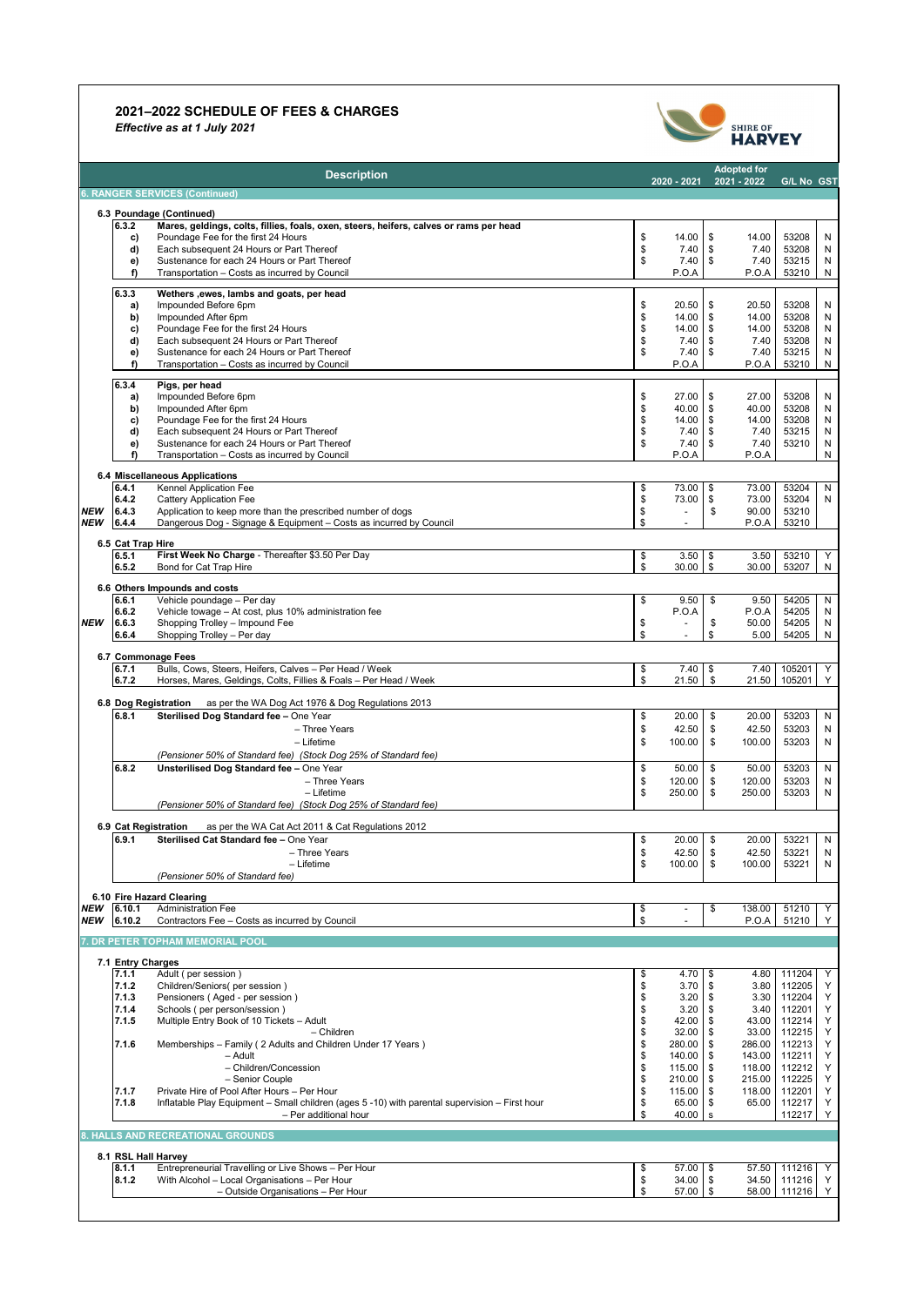

|            |                      | <b>Description</b>                                                                                                            |          | 2020 - 2021      |                    | <b>Adopted for</b><br>2021 - 2022 | G/L No GST         |        |
|------------|----------------------|-------------------------------------------------------------------------------------------------------------------------------|----------|------------------|--------------------|-----------------------------------|--------------------|--------|
|            |                      | 6. RANGER SERVICES (Continued)                                                                                                |          |                  |                    |                                   |                    |        |
|            |                      | 6.3 Poundage (Continued)                                                                                                      |          |                  |                    |                                   |                    |        |
|            | 6.3.2                | Mares, geldings, colts, fillies, foals, oxen, steers, heifers, calves or rams per head<br>Poundage Fee for the first 24 Hours |          |                  |                    |                                   |                    |        |
|            | C)<br>d)             | Each subsequent 24 Hours or Part Thereof                                                                                      | \$<br>\$ | 14.00<br>7.40    | \$<br>\$           | 14.00<br>7.40                     | 53208<br>53208     | N<br>N |
|            | e)                   | Sustenance for each 24 Hours or Part Thereof                                                                                  | \$       | 7.40             | \$                 | 7.40                              | 53215              | N      |
|            | f)                   | Transportation - Costs as incurred by Council                                                                                 |          | P.O.A            |                    | P.O.A                             | 53210              | N      |
|            | 6.3.3                | Wethers ,ewes, lambs and goats, per head                                                                                      |          |                  |                    |                                   |                    |        |
|            | a)                   | Impounded Before 6pm                                                                                                          | \$       | 20.50            | \$                 | 20.50                             | 53208              | N      |
|            | b)<br>C)             | Impounded After 6pm<br>Poundage Fee for the first 24 Hours                                                                    | \$<br>\$ | 14.00<br>14.00   | \$<br>\$           | 14.00<br>14.00                    | 53208<br>53208     | N<br>N |
|            | d)                   | Each subsequent 24 Hours or Part Thereof                                                                                      | \$       | 7.40             | \$                 | 7.40                              | 53208              | N      |
|            | e)                   | Sustenance for each 24 Hours or Part Thereof                                                                                  | \$       | 7.40             | \$                 | 7.40                              | 53215              | N      |
|            | f)                   | Transportation - Costs as incurred by Council                                                                                 |          | P.O.A            |                    | P.O.A                             | 53210              | N      |
|            | 6.3.4                | Pigs, per head                                                                                                                |          |                  |                    |                                   |                    |        |
|            | a)<br>b)             | Impounded Before 6pm<br>Impounded After 6pm                                                                                   | \$<br>\$ | 27.00<br>40.00   | \$<br>\$           | 27.00<br>40.00                    | 53208<br>53208     | N<br>N |
|            | c)                   | Poundage Fee for the first 24 Hours                                                                                           | \$       | 14.00            | -\$                | 14.00                             | 53208              | N      |
|            | d)                   | Each subsequent 24 Hours or Part Thereof                                                                                      | \$       | 7.40             | \$                 | 7.40                              | 53215              | N      |
|            | e)<br>f)             | Sustenance for each 24 Hours or Part Thereof<br>Transportation - Costs as incurred by Council                                 | \$       | 7.40<br>P.O.A    | \$                 | 7.40<br>P.O.A                     | 53210              | N<br>N |
|            |                      |                                                                                                                               |          |                  |                    |                                   |                    |        |
|            | 6.4.1                | 6.4 Miscellaneous Applications<br>Kennel Application Fee                                                                      |          | 73.00            |                    | 73.00                             | 53204              | N      |
|            | 6.4.2                | <b>Cattery Application Fee</b>                                                                                                | \$<br>\$ | 73.00            | \$<br>\$           | 73.00                             | 53204              | N      |
| <b>NEW</b> | 6.4.3                | Application to keep more than the prescribed number of dogs                                                                   | \$       | ÷.               | \$                 | 90.00                             | 53210              |        |
| <b>NEW</b> | 6.4.4                | Dangerous Dog - Signage & Equipment - Costs as incurred by Council                                                            | \$       |                  |                    | P.O.A                             | 53210              |        |
|            | 6.5 Cat Trap Hire    |                                                                                                                               |          |                  |                    |                                   |                    |        |
|            | 6.5.1                | First Week No Charge - Thereafter \$3.50 Per Day                                                                              | \$       | 3.50             | \$                 | 3.50                              | 53210              | Υ      |
|            | 6.5.2                | Bond for Cat Trap Hire                                                                                                        | \$       | 30.00            | \$                 | 30.00                             | 53207              | N      |
|            |                      | 6.6 Others Impounds and costs                                                                                                 |          |                  |                    |                                   |                    |        |
|            | 6.6.1<br>6.6.2       | Vehicle poundage - Per day<br>Vehicle towage - At cost, plus 10% administration fee                                           | \$       | 9.50<br>P.O.A    | \$                 | 9.50<br>P.O.A                     | 54205<br>54205     | N<br>N |
| <b>NEW</b> | 6.6.3                | Shopping Trolley - Impound Fee                                                                                                | \$       | $\overline{a}$   | \$                 | 50.00                             | 54205              | N      |
|            | 6.6.4                | Shopping Trolley - Per day                                                                                                    | \$       |                  | \$                 | 5.00                              | 54205              | N      |
|            |                      | 6.7 Commonage Fees                                                                                                            |          |                  |                    |                                   |                    |        |
|            | 6.7.1                | Bulls, Cows, Steers, Heifers, Calves - Per Head / Week                                                                        | \$       | 7.40             | \$                 | 7.40                              | 105201             | Y      |
|            | 6.7.2                | Horses, Mares, Geldings, Colts, Fillies & Foals - Per Head / Week                                                             | \$       | 21.50            | \$                 | 21.50                             | 105201             | Y      |
|            | 6.8 Dog Registration | as per the WA Dog Act 1976 & Dog Regulations 2013                                                                             |          |                  |                    |                                   |                    |        |
|            | 6.8.1                | Sterilised Dog Standard fee - One Year                                                                                        | \$       | 20.00            | \$                 | 20.00                             | 53203              | N      |
|            |                      | - Three Years                                                                                                                 | \$       | 42.50            | \$                 | 42.50                             | 53203              | N      |
|            |                      | - Lifetime                                                                                                                    | \$       | 100.00           | \$                 | 100.00                            | 53203              | N      |
|            | 6.8.2                | (Pensioner 50% of Standard fee) (Stock Dog 25% of Standard fee)<br>Unsterilised Dog Standard fee - One Year                   | \$       | 50.00            | \$                 | 50.00                             | 53203              | N      |
|            |                      | - Three Years                                                                                                                 | \$       | 120.00           | \$                 | 120.00                            | 53203              | N      |
|            |                      | - Lifetime                                                                                                                    | \$       | 250.00           | \$                 | 250.00                            | 53203              | N      |
|            |                      | (Pensioner 50% of Standard fee) (Stock Dog 25% of Standard fee)                                                               |          |                  |                    |                                   |                    |        |
|            | 6.9 Cat Registration | as per the WA Cat Act 2011 & Cat Regulations 2012                                                                             |          |                  |                    |                                   |                    |        |
|            | 6.9.1                | Sterilised Cat Standard fee - One Year                                                                                        | \$       | 20.00            | \$                 | 20.00                             | 53221              | N      |
|            |                      | – Three Years                                                                                                                 | \$       | 42.50            | $\mathbf{\hat{s}}$ | 42.50                             | 53221              | N      |
|            |                      | – Lifetime<br>(Pensioner 50% of Standard fee)                                                                                 | \$       | 100.00           | \$                 | 100.00                            | 53221              | N      |
|            |                      |                                                                                                                               |          |                  |                    |                                   |                    |        |
| <b>NEW</b> | 6.10.1               | 6.10 Fire Hazard Clearing<br><b>Administration Fee</b>                                                                        | \$       |                  | \$                 | 138.00                            | 51210              | Υ      |
| <b>NEW</b> | 6.10.2               | Contractors Fee - Costs as incurred by Council                                                                                | \$       |                  |                    | P.O.A                             | 51210              | Y      |
|            |                      | 7. DR PETER TOPHAM MEMORIAL POOL                                                                                              |          |                  |                    |                                   |                    |        |
|            |                      |                                                                                                                               |          |                  |                    |                                   |                    |        |
|            | 7.1 Entry Charges    |                                                                                                                               |          |                  |                    |                                   |                    |        |
|            | 7.1.1<br>7.1.2       | Adult (per session)<br>Children/Seniors(per session)                                                                          | \$<br>\$ | 4.70<br>3.70     | \$<br>\$           | 4.80<br>3.80                      | 111204<br>112205   | Y<br>Y |
|            | 7.1.3                | Pensioners (Aged - per session)                                                                                               | \$       | 3.20             | -\$                | 3.30                              | 112204             | Y      |
|            | 7.1.4                | Schools (per person/session)                                                                                                  | \$       | 3.20             | - \$               | 3.40                              | 112201             | Υ      |
|            | 7.1.5                | Multiple Entry Book of 10 Tickets - Adult<br>- Children                                                                       | \$<br>\$ | 42.00<br>32.00   | -\$<br>\$          | 43.00<br>33.00                    | 112214<br>112215   | Y<br>Y |
|            | 7.1.6                | Memberships - Family (2 Adults and Children Under 17 Years)                                                                   | \$       | 280.00           | \$                 | 286.00                            | 112213             | Y      |
|            |                      | - Adult                                                                                                                       | \$       | 140.00           | \$                 | 143.00                            | 112211             | Υ      |
|            |                      | - Children/Concession<br>- Senior Couple                                                                                      | \$<br>\$ | 115.00<br>210.00 | \$<br>\$           | 118.00<br>215.00                  | 112212 Y<br>112225 | Y      |
|            | 7.1.7                | Private Hire of Pool After Hours - Per Hour                                                                                   | \$       | 115.00           | \$                 | 118.00                            | 112201             | Y      |
|            | 7.1.8                | Inflatable Play Equipment - Small children (ages 5-10) with parental supervision - First hour                                 | \$       | 65.00            | \$                 | 65.00                             | 112217             | Y      |
|            |                      | - Per additional hour                                                                                                         | \$       | 40.00            | s                  |                                   | 112217             | Υ      |
|            |                      | 8. HALLS AND RECREATIONAL GROUNDS                                                                                             |          |                  |                    |                                   |                    |        |
|            | 8.1 RSL Hall Harvey  |                                                                                                                               |          |                  |                    |                                   |                    |        |
|            | 8.1.1                | Entrepreneurial Travelling or Live Shows - Per Hour                                                                           | \$       | 57.00            | -\$                | 57.50                             | 111216             | Y      |
|            | 8.1.2                | With Alcohol - Local Organisations - Per Hour                                                                                 | \$       | 34.00            | \$                 | 34.50                             | 111216             | Y      |
|            |                      | - Outside Organisations - Per Hour                                                                                            | \$       | $57.00$ \$       |                    | 58.00                             | 111216 Y           |        |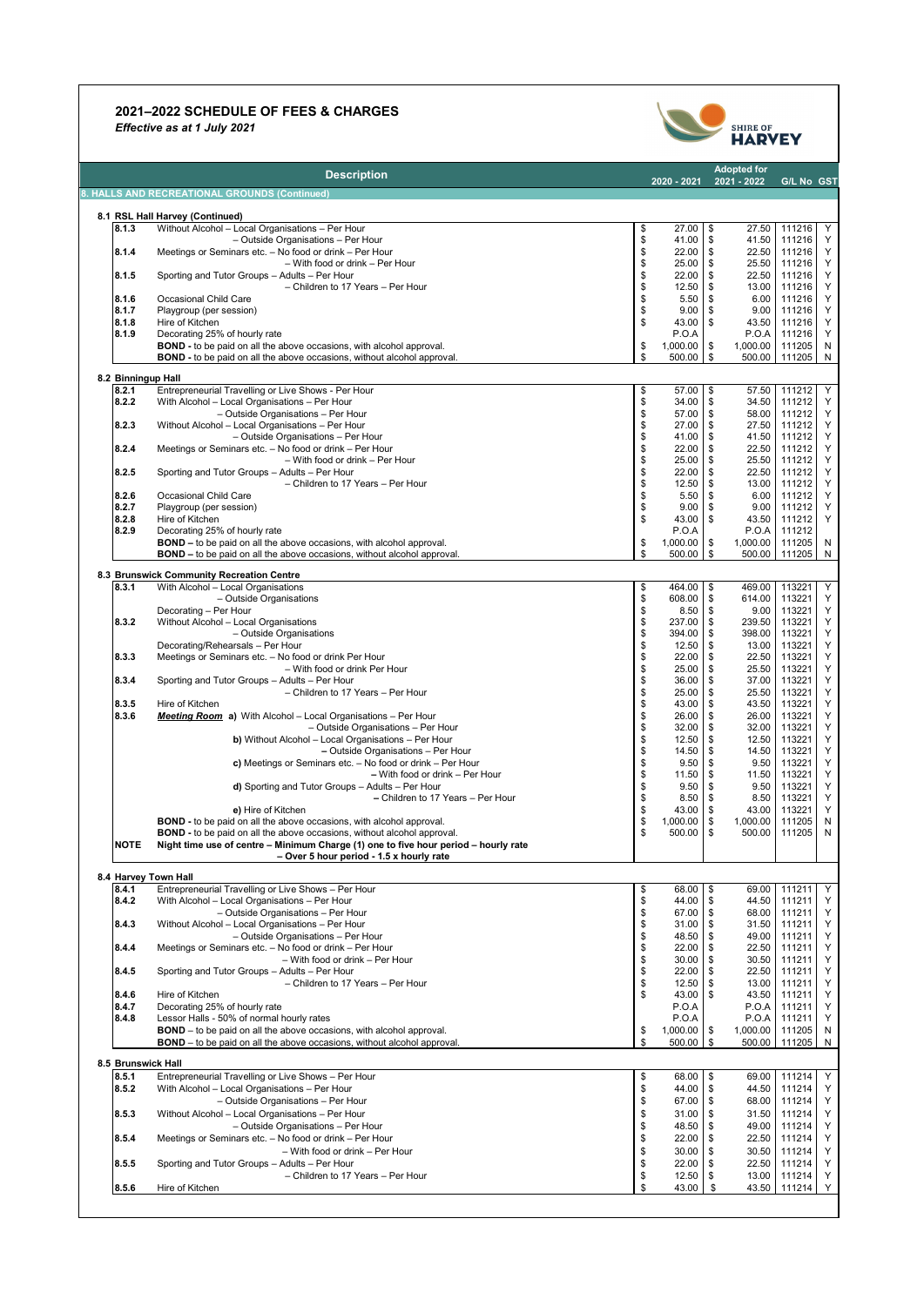

|                    | <b>Description</b><br><b>HALLS AND RECREATIONAL GROUNDS (Continued)</b>                                                                                       |          | 2020 - 2021        | <b>Adopted for</b><br>2021 - 2022 | G/L No GST                |              |
|--------------------|---------------------------------------------------------------------------------------------------------------------------------------------------------------|----------|--------------------|-----------------------------------|---------------------------|--------------|
|                    |                                                                                                                                                               |          |                    |                                   |                           |              |
| 8.1.3              | 8.1 RSL Hall Harvey (Continued)<br>Without Alcohol - Local Organisations - Per Hour                                                                           | \$       | 27.00              | 27.50<br>\$                       | 111216                    | Υ            |
|                    | - Outside Organisations - Per Hour                                                                                                                            | \$       | 41.00              | \$<br>41.50                       | 111216                    | Y            |
| 8.1.4              | Meetings or Seminars etc. - No food or drink - Per Hour                                                                                                       | \$       | 22.00              | 22.50<br>\$                       | 111216                    | Y            |
|                    | - With food or drink - Per Hour                                                                                                                               | \$       | 25.00              | \$<br>25.50                       | 111216                    | Y            |
| 8.1.5              | Sporting and Tutor Groups - Adults - Per Hour<br>- Children to 17 Years - Per Hour                                                                            | \$<br>\$ | 22.00<br>12.50     | 22.50<br>\$<br>13.00<br>\$        | 111216<br>111216          | Y<br>Y       |
| 8.1.6              | Occasional Child Care                                                                                                                                         | \$       | 5.50               | \$                                | 6.00 111216               | Y            |
| 8.1.7              | Playgroup (per session)                                                                                                                                       | \$       | 9.00               | \$<br>9.00                        | 111216                    | Y            |
| 8.1.8              | Hire of Kitchen                                                                                                                                               | \$       | 43.00              | 43.50<br>\$                       | 111216                    | Y            |
| 8.1.9              | Decorating 25% of hourly rate                                                                                                                                 |          | P.O.A              | P.O.A                             | 111216                    | Y            |
|                    | <b>BOND</b> - to be paid on all the above occasions, with alcohol approval.<br><b>BOND</b> - to be paid on all the above occasions, without alcohol approval. | \$<br>\$ | 1,000.00<br>500.00 | \$<br>\$<br>500.00                | 1,000.00 111205<br>111205 | N<br>N       |
|                    |                                                                                                                                                               |          |                    |                                   |                           |              |
| 8.2 Binningup Hall |                                                                                                                                                               |          |                    |                                   |                           |              |
| 8.2.1<br>8.2.2     | Entrepreneurial Travelling or Live Shows - Per Hour                                                                                                           | \$<br>\$ | 57.00<br>34.00     | \$<br>57.50<br>34.50<br>\$        | 111212<br>111212          | Υ<br>Υ       |
|                    | With Alcohol - Local Organisations - Per Hour<br>- Outside Organisations - Per Hour                                                                           | \$       | 57.00              | \$<br>58.00                       | 111212 Y                  |              |
| 8.2.3              | Without Alcohol - Local Organisations - Per Hour                                                                                                              | \$       | 27.00              | 27.50<br>\$                       | 111212                    | Y            |
|                    | - Outside Organisations - Per Hour                                                                                                                            | \$       | 41.00              | 41.50<br>\$                       | 111212                    | Y            |
| 8.2.4              | Meetings or Seminars etc. - No food or drink - Per Hour                                                                                                       | \$       | 22.00              | 22.50<br>\$                       | 111212                    | Y            |
|                    | - With food or drink - Per Hour                                                                                                                               | \$       | 25.00              | \$<br>25.50                       | 111212                    | Y            |
| 8.2.5              | Sporting and Tutor Groups - Adults - Per Hour<br>- Children to 17 Years - Per Hour                                                                            | \$<br>\$ | 22.00<br>12.50     | \$<br>22.50<br>13.00<br>\$        | 111212<br>111212          | Υ<br>Y       |
| 8.2.6              | Occasional Child Care                                                                                                                                         | \$       | 5.50               | \$<br>6.00                        | 111212                    | Y            |
| 8.2.7              | Playgroup (per session)                                                                                                                                       | \$       | 9.00               | l \$<br>9.00                      | 111212 Y                  |              |
| 8.2.8              | Hire of Kitchen                                                                                                                                               | \$       | 43.00              | \$<br>43.50                       | 111212                    | Υ            |
| 8.2.9              | Decorating 25% of hourly rate                                                                                                                                 |          | P.O.A              | P.O.A                             | 111212                    |              |
|                    | BOND - to be paid on all the above occasions, with alcohol approval.                                                                                          | \$<br>\$ | 1,000.00           | \$<br>1,000.00<br>\$              | 111205<br>111205          | N            |
|                    | <b>BOND</b> - to be paid on all the above occasions, without alcohol approval.                                                                                |          | 500.00             | 500.00                            |                           | N            |
|                    | 8.3 Brunswick Community Recreation Centre                                                                                                                     |          |                    |                                   |                           |              |
| 8.3.1              | With Alcohol - Local Organisations                                                                                                                            | \$       | 464.00             | \$<br>469.00                      | 113221                    | Υ            |
|                    | - Outside Organisations                                                                                                                                       | \$<br>\$ | 608.00<br>8.50     | \$<br>614.00<br>\$<br>9.00        | 113221<br>113221          | Y<br>Y       |
| 8.3.2              | Decorating - Per Hour<br>Without Alcohol - Local Organisations                                                                                                | \$       | 237.00             | 239.50<br>\$                      | 113221                    | Y            |
|                    | - Outside Organisations                                                                                                                                       | \$       | 394.00             | \$<br>398.00                      | 113221                    | Y            |
|                    | Decorating/Rehearsals - Per Hour                                                                                                                              | \$       | 12.50              | \$<br>13.00                       | 113221                    | Y            |
| 8.3.3              | Meetings or Seminars etc. - No food or drink Per Hour                                                                                                         | \$       | 22.00              | \$<br>22.50                       | 113221                    | Y            |
|                    | - With food or drink Per Hour                                                                                                                                 | \$       | 25.00              | 25.50<br>\$                       | 113221                    | Υ            |
| 8.3.4              | Sporting and Tutor Groups - Adults - Per Hour<br>- Children to 17 Years - Per Hour                                                                            | \$<br>\$ | 36.00<br>25.00     | 37.00<br>\$<br>25.50<br>\$        | 113221<br>113221          | Y<br>Y       |
| 8.3.5              | Hire of Kitchen                                                                                                                                               | \$       | 43.00              | 43.50<br>\$                       | 113221                    | Υ            |
| 8.3.6              | <b>Meeting Room</b> a) With Alcohol - Local Organisations - Per Hour                                                                                          | \$       | 26.00              | 26.00<br>\$                       | 113221                    | Υ            |
|                    | - Outside Organisations - Per Hour                                                                                                                            | \$       | 32.00              | 32.00<br>\$                       | 113221                    | Y            |
|                    | b) Without Alcohol - Local Organisations - Per Hour                                                                                                           | \$       | 12.50              | 12.50<br>\$                       | 113221                    | Y            |
|                    | - Outside Organisations - Per Hour                                                                                                                            | \$       | 14.50              | 14.50<br>\$                       | 113221                    | Υ            |
|                    | c) Meetings or Seminars etc. - No food or drink - Per Hour<br>- With food or drink - Per Hour                                                                 | \$<br>\$ | 9.50<br>11.50      | \$<br>9.50<br>\$<br>11.50         | 113221<br>113221          | Y<br>Y       |
|                    | d) Sporting and Tutor Groups - Adults - Per Hour                                                                                                              | \$       | 9.50               | \$<br>9.50                        | 113221                    | Y            |
|                    | - Children to 17 Years - Per Hour                                                                                                                             | \$       | 8.50               | \$<br>8.50                        | 113221                    | Υ            |
|                    | e) Hire of Kitchen                                                                                                                                            | \$       | 43.00              | \$<br>43.00                       | 113221                    | Y            |
|                    | BOND - to be paid on all the above occasions, with alcohol approval.                                                                                          | \$       | 1,000.00           | 1.000.00<br>\$                    | 111205                    | N            |
|                    | <b>BOND</b> - to be paid on all the above occasions, without alcohol approval.                                                                                | \$       | 500.00             | \$<br>500.00                      | 111205                    | $\mathsf{N}$ |
| <b>NOTE</b>        | Night time use of centre - Minimum Charge (1) one to five hour period - hourly rate<br>- Over 5 hour period - 1.5 x hourly rate                               |          |                    |                                   |                           |              |
|                    |                                                                                                                                                               |          |                    |                                   |                           |              |
|                    | 8.4 Harvey Town Hall                                                                                                                                          |          |                    |                                   |                           |              |
| 8.4.1              | Entrepreneurial Travelling or Live Shows - Per Hour                                                                                                           | \$       | 68.00              | 69.00<br>\$                       | 111211                    | Y            |
| 8.4.2              | With Alcohol - Local Organisations - Per Hour<br>- Outside Organisations - Per Hour                                                                           | \$<br>\$ | 44.00<br>67.00     | \$<br>44.50<br>68.00<br>\$        | 111211<br>111211          | Υ<br>Y       |
| 8.4.3              | Without Alcohol - Local Organisations - Per Hour                                                                                                              | \$       | 31.00              | \$<br>31.50                       | 111211                    | Y            |
|                    | - Outside Organisations - Per Hour                                                                                                                            | \$       | 48.50              | 49.00<br>\$                       | 111211                    | Y            |
| 8.4.4              | Meetings or Seminars etc. - No food or drink - Per Hour                                                                                                       | \$       | 22.00              | 22.50<br>\$                       | 111211                    | Υ            |
|                    | - With food or drink - Per Hour                                                                                                                               | \$       | 30.00              | \$<br>30.50                       | 111211                    | Υ            |
| 8.4.5              | Sporting and Tutor Groups - Adults - Per Hour                                                                                                                 | \$       | 22.00              | \$<br>22.50                       | 111211                    | Y            |
| 8.4.6              | - Children to 17 Years - Per Hour<br>Hire of Kitchen                                                                                                          | \$<br>\$ | 12.50<br>43.00     | 13.00<br>\$<br>43.50<br>\$        | 111211<br>111211          | Y<br>Υ       |
| 8.4.7              | Decorating 25% of hourly rate                                                                                                                                 |          | P.O.A              |                                   | P.O.A 111211 Y            |              |
| 8.4.8              | Lessor Halls - 50% of normal hourly rates                                                                                                                     |          | P.O.A              | P.O.A                             | 111211 Y                  |              |
|                    | <b>BOND</b> – to be paid on all the above occasions, with alcohol approval.                                                                                   | \$       | 1,000.00           | \$<br>1,000.00                    | 111205 N                  |              |
|                    | <b>BOND</b> – to be paid on all the above occasions, without alcohol approval.                                                                                | \$       | 500.00             | \$<br>500.00                      | 111205                    | N            |
| 8.5 Brunswick Hall |                                                                                                                                                               |          |                    |                                   |                           |              |
| 8.5.1              | Entrepreneurial Travelling or Live Shows - Per Hour                                                                                                           | \$       | 68.00              | \$<br>69.00                       | 111214                    | Υ            |
| 8.5.2              | With Alcohol - Local Organisations - Per Hour                                                                                                                 | \$       | 44.00              | 44.50<br>\$                       | 111214                    | Y            |
|                    | - Outside Organisations - Per Hour                                                                                                                            | \$       | 67.00              | \$<br>68.00                       | 111214 Y                  |              |
| 8.5.3              | Without Alcohol - Local Organisations - Per Hour                                                                                                              | \$       | 31.00              | 31.50<br>\$                       | 111214                    | Y            |
|                    | - Outside Organisations - Per Hour                                                                                                                            | \$       | 48.50              | 49.00<br>\$                       | 111214                    | Y            |
| 8.5.4              | Meetings or Seminars etc. - No food or drink - Per Hour                                                                                                       | \$       | 22.00              | 22.50<br>\$                       | 111214                    | Y            |
|                    | - With food or drink - Per Hour                                                                                                                               | \$       | 30.00              | 30.50<br>\$                       | 111214                    | Y            |
| 8.5.5              | Sporting and Tutor Groups - Adults - Per Hour                                                                                                                 | \$       | 22.00              | 22.50<br><b>S</b>                 | 111214 Y                  |              |
|                    | - Children to 17 Years - Per Hour                                                                                                                             | \$       | 12.50              | \$<br>13.00                       | 111214                    | Y            |
| 8.5.6              | Hire of Kitchen                                                                                                                                               | \$       | 43.00              | \$<br>43.50                       | 111214                    | Y            |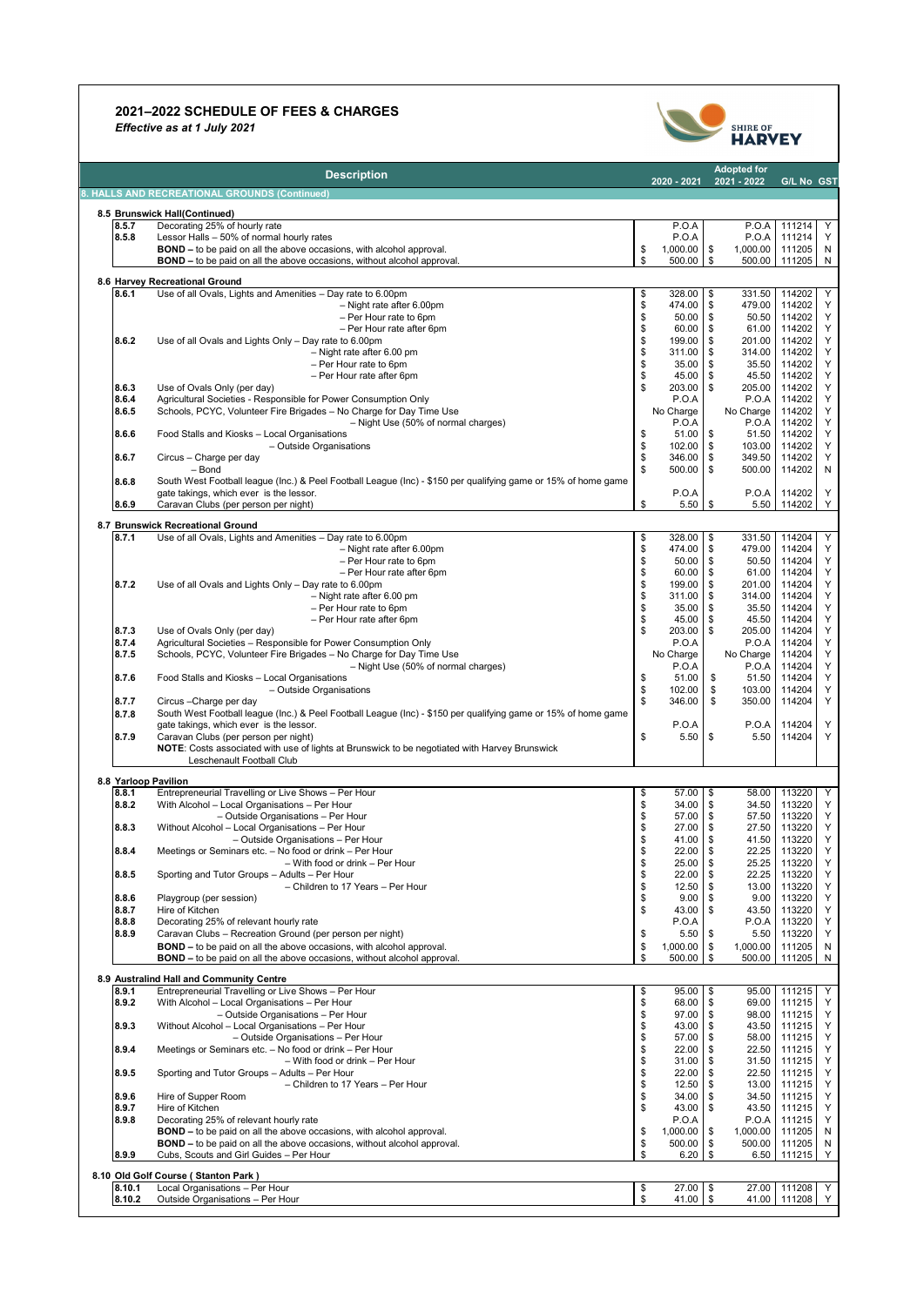

|                               | <b>Description</b>                                                                                                                                            |          |                    |              | <b>Adopted for</b> |                    |        |  |  |  |  |
|-------------------------------|---------------------------------------------------------------------------------------------------------------------------------------------------------------|----------|--------------------|--------------|--------------------|--------------------|--------|--|--|--|--|
|                               | <b>HALLS AND RECREATIONAL GROUNDS (Continued)</b>                                                                                                             |          | 2020 - 2021        |              | 2021 - 2022        | G/L No GST         |        |  |  |  |  |
| 8.5 Brunswick Hall(Continued) |                                                                                                                                                               |          |                    |              |                    |                    |        |  |  |  |  |
| 8.5.7                         | Decorating 25% of hourly rate                                                                                                                                 |          | P.O.A              |              | P.O.A              | 111214             | Y      |  |  |  |  |
| 8.5.8                         | Lessor Halls - 50% of normal hourly rates                                                                                                                     |          | P.O.A              |              | P.O.A              | 111214             | Y      |  |  |  |  |
|                               | <b>BOND</b> - to be paid on all the above occasions, with alcohol approval.<br><b>BOND - to be paid on all the above occasions, without alcohol approval.</b> | \$<br>\$ | 1,000.00<br>500.00 | \$<br>\$     | 1,000.00<br>500.00 | 111205<br>111205   | N<br>N |  |  |  |  |
|                               |                                                                                                                                                               |          |                    |              |                    |                    |        |  |  |  |  |
| 8.6.1                         | 8.6 Harvey Recreational Ground<br>Use of all Ovals, Lights and Amenities - Day rate to 6.00pm                                                                 | \$       | 328.00             | \$           | 331.50             | 114202             | Y      |  |  |  |  |
|                               | - Night rate after 6.00pm                                                                                                                                     | \$       | 474.00             | \$           | 479.00             | 114202             | Y      |  |  |  |  |
|                               | - Per Hour rate to 6pm                                                                                                                                        | \$       | 50.00              | \$           | 50.50              | 114202             | Y      |  |  |  |  |
| 8.6.2                         | - Per Hour rate after 6pm<br>Use of all Ovals and Lights Only - Day rate to 6.00pm                                                                            | \$<br>\$ | 60.00<br>199.00    | \$<br>\$     | 61.00<br>201.00    | 114202<br>114202   | Y<br>Y |  |  |  |  |
|                               | - Night rate after 6.00 pm                                                                                                                                    | \$       | 311.00             | \$           | 314.00             | 114202             | Y      |  |  |  |  |
|                               | - Per Hour rate to 6pm                                                                                                                                        | \$       | 35.00              | \$           | 35.50              | 114202             | Y      |  |  |  |  |
| 8.6.3                         | - Per Hour rate after 6pm<br>Use of Ovals Only (per day)                                                                                                      | \$       | 45.00<br>203.00    | \$<br>\$     | 45.50<br>205.00    | 114202<br>114202   | Y<br>Y |  |  |  |  |
| 8.6.4                         | Agricultural Societies - Responsible for Power Consumption Only                                                                                               |          | P.O.A              |              | P.O.A              | 114202             | Y      |  |  |  |  |
| 8.6.5                         | Schools, PCYC, Volunteer Fire Brigades - No Charge for Day Time Use                                                                                           |          | No Charge          |              | No Charge          | 114202             | Y      |  |  |  |  |
| 8.6.6                         | - Night Use (50% of normal charges)<br>Food Stalls and Kiosks - Local Organisations                                                                           | \$       | P.O.A<br>51.00     | \$           | P.O.A<br>51.50     | 114202<br>114202   | Y<br>Y |  |  |  |  |
|                               | - Outside Organisations                                                                                                                                       | \$       | 102.00             | \$           | 103.00             | 114202             | Y      |  |  |  |  |
| 8.6.7                         | Circus - Charge per day                                                                                                                                       | \$       | 346.00             | \$           | 349.50             | 114202             | Y      |  |  |  |  |
| 8.6.8                         | - Bond<br>South West Football league (Inc.) & Peel Football League (Inc) - \$150 per qualifying game or 15% of home game                                      | \$       | 500.00             | \$           | 500.00             | 114202             | N      |  |  |  |  |
|                               | gate takings, which ever is the lessor.                                                                                                                       |          | P.O.A              |              | P.O.A              | 114202             | Y      |  |  |  |  |
| 8.6.9                         | Caravan Clubs (per person per night)                                                                                                                          | \$       | $5.50$ \$          |              | 5.50               | 114202             | Y      |  |  |  |  |
|                               | 8.7 Brunswick Recreational Ground                                                                                                                             |          |                    |              |                    |                    |        |  |  |  |  |
| 8.7.1                         | Use of all Ovals, Lights and Amenities - Day rate to 6.00pm                                                                                                   | \$       | 328.00             | \$           | 331.50             | 114204             | Y      |  |  |  |  |
|                               | - Night rate after 6.00pm<br>- Per Hour rate to 6pm                                                                                                           | \$<br>\$ | 474.00<br>50.00    | \$<br>\$     | 479.00<br>50.50    | 114204<br>114204   | Y<br>Y |  |  |  |  |
|                               | - Per Hour rate after 6pm                                                                                                                                     | \$       | 60.00              | \$           | 61.00              | 114204             | Y      |  |  |  |  |
| 8.7.2                         | Use of all Ovals and Lights Only - Day rate to 6.00pm                                                                                                         | \$       | 199.00             | \$           | 201.00             | 114204             | Y      |  |  |  |  |
|                               | - Night rate after 6.00 pm<br>- Per Hour rate to 6pm                                                                                                          | \$<br>\$ | 311.00<br>35.00    | \$<br>\$     | 314.00<br>35.50    | 114204<br>114204   | Y<br>Y |  |  |  |  |
|                               | - Per Hour rate after 6pm                                                                                                                                     | \$       | 45.00              | \$           | 45.50              | 114204             | Y      |  |  |  |  |
| 8.7.3                         | Use of Ovals Only (per day)                                                                                                                                   | \$       | 203.00             | \$           | 205.00             | 114204             | Y      |  |  |  |  |
| 8.7.4<br>8.7.5                | Agricultural Societies - Responsible for Power Consumption Only<br>Schools, PCYC, Volunteer Fire Brigades - No Charge for Day Time Use                        |          | P.O.A<br>No Charge |              | P.O.A<br>No Charge | 114204<br>114204   | Y<br>Y |  |  |  |  |
|                               | - Night Use (50% of normal charges)                                                                                                                           |          | P.O.A              |              | P.O.A              | 114204             | Y      |  |  |  |  |
| 8.7.6                         | Food Stalls and Kiosks - Local Organisations                                                                                                                  | \$       | 51.00              | \$           | 51.50              | 114204             | Y      |  |  |  |  |
| 8.7.7                         | - Outside Organisations<br>Circus-Charge per day                                                                                                              | \$<br>\$ | 102.00<br>346.00   | \$<br>\$     | 103.00<br>350.00   | 114204<br>114204   | Y<br>Y |  |  |  |  |
| 8.7.8                         | South West Football league (Inc.) & Peel Football League (Inc) - \$150 per qualifying game or 15% of home game                                                |          |                    |              |                    |                    |        |  |  |  |  |
|                               | gate takings, which ever is the lessor.                                                                                                                       |          | P.O.A              |              | P.O.A              | 114204             | Y      |  |  |  |  |
| 8.7.9                         | Caravan Clubs (per person per night)                                                                                                                          | \$       | 5.50               | \$           | 5.50               | 114204             | Y      |  |  |  |  |
|                               | NOTE: Costs associated with use of lights at Brunswick to be negotiated with Harvey Brunswick<br>Leschenault Football Club                                    |          |                    |              |                    |                    |        |  |  |  |  |
|                               |                                                                                                                                                               |          |                    |              |                    |                    |        |  |  |  |  |
| 8.8 Yarloop Pavilion<br>8.8.1 | Entrepreneurial Travelling or Live Shows - Per Hour                                                                                                           | \$       | 57.00              | \$           | 58.00              | 113220             | Y      |  |  |  |  |
| 8.8.2                         | With Alcohol - Local Organisations - Per Hour                                                                                                                 | \$       | 34.00              | \$           | 34.50              | 113220             | Y      |  |  |  |  |
| 8.8.3                         | - Outside Organisations - Per Hour                                                                                                                            | \$       | 57.00              | \$           | 57.50              | 113220             | Y<br>Y |  |  |  |  |
|                               | Without Alcohol - Local Organisations - Per Hour<br>- Outside Organisations - Per Hour                                                                        | \$<br>\$ | 27.00<br>41.00     | \$<br>\$     | 27.50<br>41.50     | 113220<br>113220   | Y      |  |  |  |  |
| 8.8.4                         | Meetings or Seminars etc. - No food or drink - Per Hour                                                                                                       | \$       | 22.00              | $\mathbf{s}$ |                    | 22.25 113220       | Y      |  |  |  |  |
|                               | - With food or drink - Per Hour                                                                                                                               | \$       | 25.00              | \$           | 25.25              | 113220             | Y      |  |  |  |  |
| 8.8.5                         | Sporting and Tutor Groups - Adults - Per Hour<br>- Children to 17 Years - Per Hour                                                                            | \$<br>\$ | 22.00<br>12.50     | \$<br>\$     | 22.25<br>13.00     | 113220<br>113220   | Y<br>Y |  |  |  |  |
| 8.8.6                         | Playgroup (per session)                                                                                                                                       | \$       | 9.00               | \$           | 9.00               | 113220             | Y      |  |  |  |  |
| 8.8.7                         | Hire of Kitchen                                                                                                                                               | \$       | 43.00              | \$           | 43.50              | 113220             | Y      |  |  |  |  |
| 8.8.8<br>8.8.9                | Decorating 25% of relevant hourly rate<br>Caravan Clubs - Recreation Ground (per person per night)                                                            | \$       | P.O.A<br>5.50      | \$           | P.O.A<br>5.50      | 113220<br>113220   | Y<br>Y |  |  |  |  |
|                               | <b>BOND</b> – to be paid on all the above occasions, with alcohol approval.                                                                                   | \$       | 1,000.00           | \$           | 1,000.00           | 111205             | N      |  |  |  |  |
|                               | <b>BOND - to be paid on all the above occasions, without alcohol approval.</b>                                                                                | \$       | 500.00             | \$           | 500.00             | 111205             | N      |  |  |  |  |
|                               | 8.9 Australind Hall and Community Centre                                                                                                                      |          |                    |              |                    |                    |        |  |  |  |  |
| 8.9.1                         | Entrepreneurial Travelling or Live Shows - Per Hour                                                                                                           | \$       | 95.00              | \$           | 95.00              | 111215             | Y      |  |  |  |  |
| 8.9.2                         | With Alcohol - Local Organisations - Per Hour                                                                                                                 | \$       | 68.00              | \$           | 69.00              | 111215             | Y      |  |  |  |  |
| 8.9.3                         | - Outside Organisations - Per Hour<br>Without Alcohol - Local Organisations - Per Hour                                                                        | \$<br>\$ | 97.00<br>43.00     | \$<br>\$     | 98.00<br>43.50     | 111215 Y<br>111215 | Y      |  |  |  |  |
|                               | - Outside Organisations - Per Hour                                                                                                                            | \$       | 57.00              | \$           | 58.00              | 111215 Y           |        |  |  |  |  |
| 8.9.4                         | Meetings or Seminars etc. - No food or drink - Per Hour                                                                                                       | \$       | 22.00              | \$           | 22.50              | 111215             | Y      |  |  |  |  |
| 8.9.5                         | - With food or drink - Per Hour<br>Sporting and Tutor Groups - Adults - Per Hour                                                                              | \$<br>\$ | 31.00<br>22.00     | \$<br>\$     | 31.50<br>22.50     | 111215 Y<br>111215 | Y      |  |  |  |  |
|                               | - Children to 17 Years - Per Hour                                                                                                                             | \$       | 12.50              | \$           | 13.00              | 111215             | Y      |  |  |  |  |
| 8.9.6                         | Hire of Supper Room                                                                                                                                           | \$       | 34.00              | \$           | 34.50              | 111215             | Y      |  |  |  |  |
| 8.9.7                         | Hire of Kitchen                                                                                                                                               | \$       | 43.00              | \$           | 43.50              | 111215 Y           |        |  |  |  |  |
| 8.9.8                         | Decorating 25% of relevant hourly rate<br><b>BOND</b> – to be paid on all the above occasions, with alcohol approval.                                         | \$       | P.O.A<br>1,000.00  | \$           | P.O.A<br>1,000.00  | 111215<br>111205   | Y<br>N |  |  |  |  |
|                               | <b>BOND</b> – to be paid on all the above occasions, without alcohol approval.                                                                                | \$       | 500.00             | \$           | 500.00             | 111205             | N      |  |  |  |  |
| 8.9.9                         | Cubs, Scouts and Girl Guides - Per Hour                                                                                                                       | \$       | 6.20               | \$           | 6.50               | 111215             | Y      |  |  |  |  |
|                               | 8.10 Old Golf Course (Stanton Park)                                                                                                                           |          |                    |              |                    |                    |        |  |  |  |  |
| 8.10.1                        | Local Organisations - Per Hour                                                                                                                                | \$       | $27.00$ \$         |              | 27.00              | 111208             | Y      |  |  |  |  |
| 8.10.2                        | Outside Organisations - Per Hour                                                                                                                              | \$       | $41.00$ \$         |              | 41.00              | 111208             | Y      |  |  |  |  |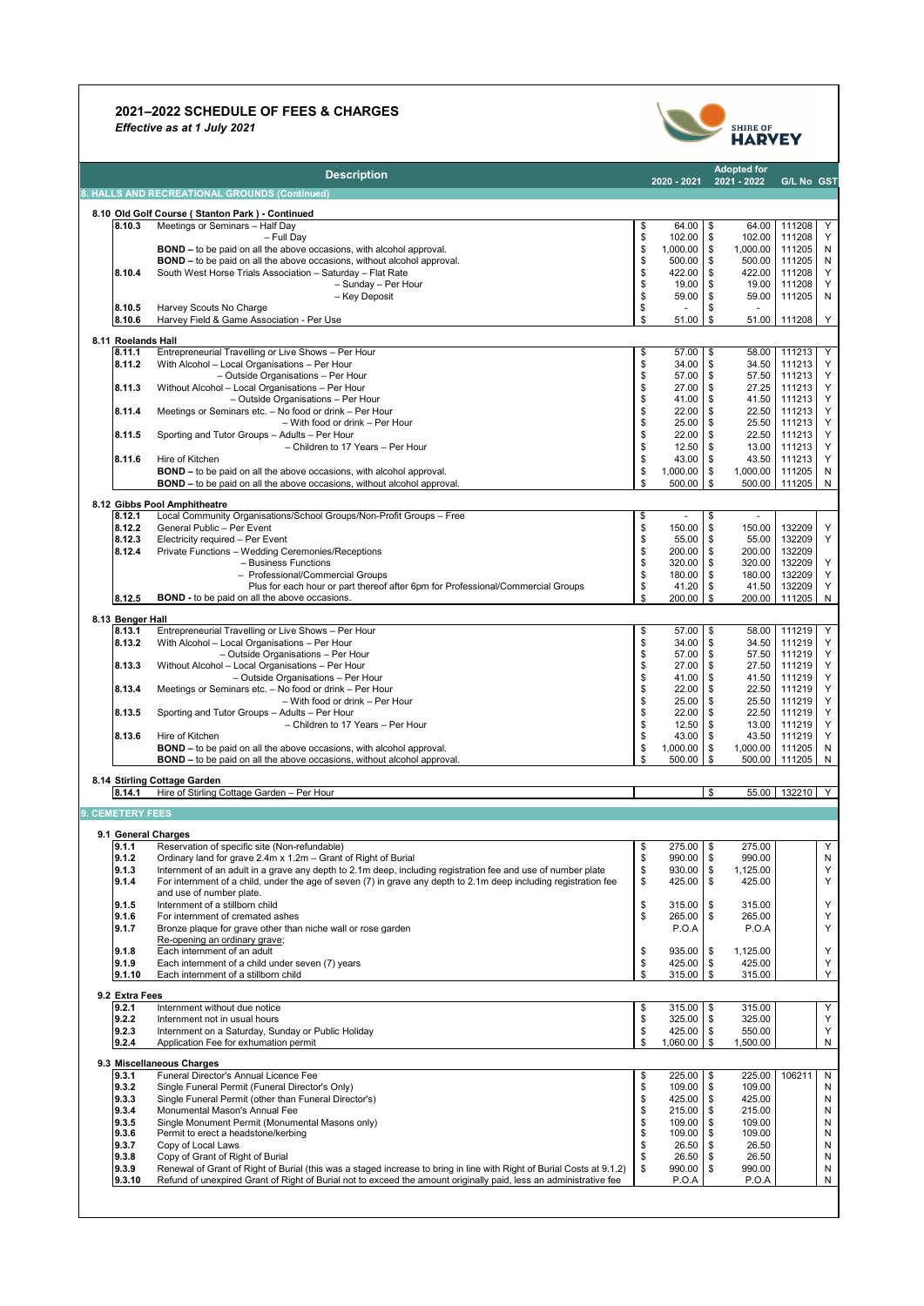

|                              | <b>Description</b>                                                                                                                                                                                                                         |          | 2020 - 2021        |          | <b>Adopted for</b><br>2021 - 2022 | G/L No GST         |        |
|------------------------------|--------------------------------------------------------------------------------------------------------------------------------------------------------------------------------------------------------------------------------------------|----------|--------------------|----------|-----------------------------------|--------------------|--------|
|                              | 1. HALLS AND RECREATIONAL GROUNDS (Continued)                                                                                                                                                                                              |          |                    |          |                                   |                    |        |
| 8.10.3                       | 8.10 Old Golf Course (Stanton Park) - Continued<br>Meetings or Seminars - Half Day                                                                                                                                                         | \$       | 64.00              | \$       | 64.00                             | 111208             | Υ      |
|                              | - Full Day                                                                                                                                                                                                                                 | \$       | 102.00             | \$       | 102.00                            | 111208             | Y      |
|                              | <b>BOND</b> – to be paid on all the above occasions, with alcohol approval.                                                                                                                                                                | \$       | 1,000.00           | \$       | 1,000.00                          | 111205             | N      |
| 8.10.4                       | <b>BOND</b> - to be paid on all the above occasions, without alcohol approval.<br>South West Horse Trials Association - Saturday - Flat Rate                                                                                               | \$<br>\$ | 500.00<br>422.00   | \$<br>\$ | 500.00<br>422.00                  | 111205<br>111208   | N<br>Y |
|                              | - Sunday - Per Hour                                                                                                                                                                                                                        | \$       | 19.00              | \$       | 19.00                             | 111208             | Y      |
|                              | - Key Deposit                                                                                                                                                                                                                              | \$       | 59.00              | \$       | 59.00                             | 111205             | N      |
| 8.10.5<br>8.10.6             | Harvey Scouts No Charge<br>Harvey Field & Game Association - Per Use                                                                                                                                                                       | \$<br>\$ | 51.00              | \$<br>\$ | $\blacksquare$<br>51.00           | 111208             | Υ      |
|                              |                                                                                                                                                                                                                                            |          |                    |          |                                   |                    |        |
| 8.11 Roelands Hall<br>8.11.1 | Entrepreneurial Travelling or Live Shows - Per Hour                                                                                                                                                                                        | \$       | 57.00              | \$       | 58.00                             | 111213             | Y      |
| 8.11.2                       | With Alcohol - Local Organisations - Per Hour                                                                                                                                                                                              | \$       | 34.00              | \$       | 34.50                             | 111213             | Υ      |
|                              | - Outside Organisations - Per Hour                                                                                                                                                                                                         | \$       | 57.00              | \$       | 57.50                             | 111213             | Y      |
| 8.11.3                       | Without Alcohol - Local Organisations - Per Hour<br>- Outside Organisations - Per Hour                                                                                                                                                     | \$<br>\$ | 27.00<br>41.00     | \$<br>\$ | 27.25<br>41.50                    | 111213 Y<br>111213 | Υ      |
| 8.11.4                       | Meetings or Seminars etc. - No food or drink - Per Hour                                                                                                                                                                                    | \$       | 22.00              | \$       | 22.50                             | 111213             | Y      |
|                              | - With food or drink - Per Hour                                                                                                                                                                                                            | \$       | 25.00              | \$       | 25.50                             | 111213             | Y      |
| 8.11.5                       | Sporting and Tutor Groups - Adults - Per Hour                                                                                                                                                                                              | \$       | 22.00              | \$       | 22.50                             | 111213             | Y      |
| 8.11.6                       | - Children to 17 Years - Per Hour<br>Hire of Kitchen                                                                                                                                                                                       | \$<br>\$ | 12.50<br>43.00     | \$<br>\$ | 13.00<br>43.50                    | 111213<br>111213   | Υ<br>Y |
|                              | <b>BOND</b> – to be paid on all the above occasions, with alcohol approval.                                                                                                                                                                | \$       | 1,000.00           | \$       | 1,000.00                          | 111205             | N      |
|                              | <b>BOND - to be paid on all the above occasions, without alcohol approval.</b>                                                                                                                                                             | \$       | 500.00             | \$       | 500.00                            | 111205             | N      |
|                              | 8.12 Gibbs Pool Amphitheatre                                                                                                                                                                                                               |          |                    |          |                                   |                    |        |
| 8.12.1                       | Local Community Organisations/School Groups/Non-Profit Groups - Free                                                                                                                                                                       | \$       | $\sim$             | \$       | $\omega$                          |                    |        |
| 8.12.2                       | General Public - Per Event                                                                                                                                                                                                                 | \$       | 150.00             | \$       | 150.00                            | 132209             | Υ      |
| 8.12.3<br>8.12.4             | Electricity required - Per Event<br>Private Functions - Wedding Ceremonies/Receptions                                                                                                                                                      | \$<br>\$ | 55.00<br>200.00    | \$<br>\$ | 55.00<br>200.00                   | 132209<br>132209   | Y      |
|                              | - Business Functions                                                                                                                                                                                                                       | \$       | 320.00             | \$       | 320.00                            | 132209             | Y      |
|                              | - Professional/Commercial Groups                                                                                                                                                                                                           | \$       | 180.00             | \$       | 180.00                            | 132209             | Y      |
|                              | Plus for each hour or part thereof after 6pm for Professional/Commercial Groups                                                                                                                                                            | \$       | 41.20              | \$<br>\$ | 41.50                             | 132209<br>111205   | Y      |
| 8.12.5                       | <b>BOND</b> - to be paid on all the above occasions.                                                                                                                                                                                       | \$       | 200.00             |          | 200.00                            |                    | N      |
| 8.13 Benger Hall             |                                                                                                                                                                                                                                            |          |                    |          |                                   |                    |        |
| 8.13.1<br>8.13.2             | Entrepreneurial Travelling or Live Shows - Per Hour<br>With Alcohol - Local Organisations - Per Hour                                                                                                                                       | \$<br>\$ | 57.00<br>34.00     | \$<br>\$ | 58.00<br>34.50                    | 111219<br>111219   | Υ<br>Υ |
|                              | - Outside Organisations - Per Hour                                                                                                                                                                                                         | \$       | 57.00              | \$       | 57.50                             | 111219             | Y      |
| 8.13.3                       | Without Alcohol - Local Organisations - Per Hour                                                                                                                                                                                           | \$       | 27.00              | \$       | 27.50                             | 111219             | Y      |
|                              | - Outside Organisations - Per Hour                                                                                                                                                                                                         | \$<br>\$ | 41.00              | \$       | 41.50                             | 111219             | Y<br>Y |
| 8.13.4                       | Meetings or Seminars etc. - No food or drink - Per Hour<br>- With food or drink - Per Hour                                                                                                                                                 | \$       | 22.00<br>25.00     | \$<br>\$ | 22.50<br>25.50                    | 111219<br>111219   | Y      |
| 8.13.5                       | Sporting and Tutor Groups - Adults - Per Hour                                                                                                                                                                                              | \$       | 22.00              | \$       | 22.50                             | 111219             | Y      |
|                              | - Children to 17 Years - Per Hour                                                                                                                                                                                                          | \$       | 12.50              | \$       | 13.00                             | 111219             | Y      |
| 8.13.6                       | Hire of Kitchen<br><b>BOND</b> – to be paid on all the above occasions, with alcohol approval.                                                                                                                                             | \$<br>\$ | 43.00<br>1,000.00  | \$<br>\$ | 43.50<br>1,000.00                 | 111219<br>111205   | Y<br>N |
|                              | <b>BOND</b> - to be paid on all the above occasions, without alcohol approval.                                                                                                                                                             | \$       | 500.00             | \$       | 500.00                            | 111205             | N      |
|                              | 8.14 Stirling Cottage Garden                                                                                                                                                                                                               |          |                    |          |                                   |                    |        |
| 8.14.1                       | Hire of Stirling Cottage Garden - Per Hour                                                                                                                                                                                                 |          |                    | \$       | 55.00                             | 132210             | Y.     |
| <b>9. CEMETERY FEES</b>      |                                                                                                                                                                                                                                            |          |                    |          |                                   |                    |        |
|                              |                                                                                                                                                                                                                                            |          |                    |          |                                   |                    |        |
| 9.1.1                        | 9.1 General Charges<br>Reservation of specific site (Non-refundable)                                                                                                                                                                       | \$       | 275.00 \$          |          | 275.00                            |                    | Y      |
| 9.1.2                        | Ordinary land for grave 2.4m x 1.2m - Grant of Right of Burial                                                                                                                                                                             | \$       | 990.00 \$          |          | 990.00                            |                    | N      |
| 9.1.3                        | Internment of an adult in a grave any depth to 2.1m deep, including registration fee and use of number plate                                                                                                                               | \$       | 930.00             | \$       | 1,125.00                          |                    | Υ      |
| 9.1.4                        | For internment of a child, under the age of seven (7) in grave any depth to 2.1m deep including registration fee                                                                                                                           | \$       | 425.00             | \$       | 425.00                            |                    | Y      |
| 9.1.5                        | and use of number plate.<br>Internment of a stillborn child                                                                                                                                                                                | \$       | 315.00             | \$       | 315.00                            |                    | Υ      |
| 9.1.6                        | For internment of cremated ashes                                                                                                                                                                                                           | \$       | 265.00             | \$       | 265.00                            |                    | Υ      |
| 9.1.7                        | Bronze plaque for grave other than niche wall or rose garden                                                                                                                                                                               |          | P.O.A              |          | P.O.A                             |                    | Υ      |
| 9.1.8                        | Re-opening an ordinary grave;<br>Each internment of an adult                                                                                                                                                                               | \$       | 935.00             | \$       | 1,125.00                          |                    | Υ      |
| 9.1.9                        | Each internment of a child under seven (7) years                                                                                                                                                                                           | \$       | 425.00             | \$       | 425.00                            |                    | Y      |
| 9.1.10                       | Each internment of a stillborn child                                                                                                                                                                                                       | \$       | 315.00             | \$       | 315.00                            |                    | Y      |
| 9.2 Extra Fees               |                                                                                                                                                                                                                                            |          |                    |          |                                   |                    |        |
| 9.2.1                        | Internment without due notice                                                                                                                                                                                                              | \$       | 315.00             | \$       | 315.00                            |                    | Υ      |
| 9.2.2                        | Internment not in usual hours                                                                                                                                                                                                              | \$       | 325.00             | \$       | 325.00                            |                    | Y<br>Y |
| 9.2.3<br>9.2.4               | Internment on a Saturday, Sunday or Public Holiday<br>Application Fee for exhumation permit                                                                                                                                                | \$<br>\$ | 425.00<br>1,060.00 | \$<br>\$ | 550.00<br>1,500.00                |                    | N      |
|                              |                                                                                                                                                                                                                                            |          |                    |          |                                   |                    |        |
| 9.3.1                        | 9.3 Miscellaneous Charges<br>Funeral Director's Annual Licence Fee                                                                                                                                                                         | \$       | 225.00             | \$       | 225.00                            | 106211             | N      |
| 9.3.2                        | Single Funeral Permit (Funeral Director's Only)                                                                                                                                                                                            | \$       | 109.00             | \$       | 109.00                            |                    | N      |
| 9.3.3                        | Single Funeral Permit (other than Funeral Director's)                                                                                                                                                                                      | \$       | 425.00             | \$       | 425.00                            |                    | N      |
| 9.3.4<br>9.3.5               | Monumental Mason's Annual Fee<br>Single Monument Permit (Monumental Masons only)                                                                                                                                                           | \$<br>\$ | 215.00<br>109.00   | \$<br>\$ | 215.00<br>109.00                  |                    | N<br>N |
| 9.3.6                        | Permit to erect a headstone/kerbing                                                                                                                                                                                                        | \$       | 109.00             | \$       | 109.00                            |                    | N      |
| 9.3.7                        | Copy of Local Laws                                                                                                                                                                                                                         | \$       | 26.50              | \$       | 26.50                             |                    | N      |
| 9.3.8                        | Copy of Grant of Right of Burial                                                                                                                                                                                                           | \$       | 26.50              | \$       | 26.50                             |                    | N      |
| 9.3.9<br>9.3.10              | Renewal of Grant of Right of Burial (this was a staged increase to bring in line with Right of Burial Costs at 9.1.2)<br>Refund of unexpired Grant of Right of Burial not to exceed the amount originally paid, less an administrative fee | \$       | 990.00<br>P.O.A    | \$       | 990.00<br>P.O.A                   |                    | N<br>N |
|                              |                                                                                                                                                                                                                                            |          |                    |          |                                   |                    |        |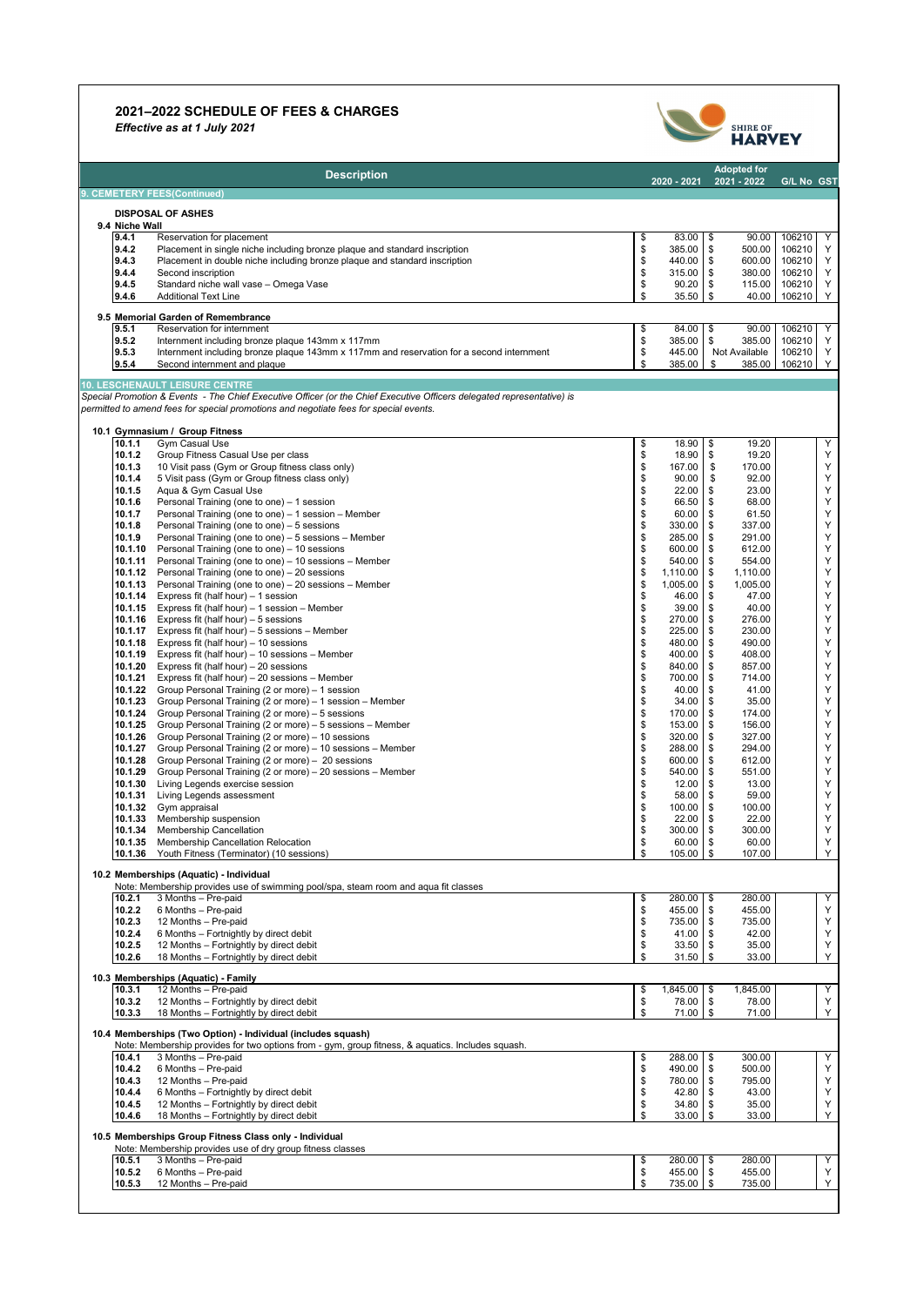

|                    | <b>Description</b>                                                                                                                                       |          |                  | <b>Adopted for</b>                 |                            |
|--------------------|----------------------------------------------------------------------------------------------------------------------------------------------------------|----------|------------------|------------------------------------|----------------------------|
|                    | . CEMETERY FEES(Continued)                                                                                                                               |          | 2020 - 2021      | 2021 - 2022                        | G/L No GS1                 |
|                    | <b>DISPOSAL OF ASHES</b>                                                                                                                                 |          |                  |                                    |                            |
| 9.4 Niche Wall     |                                                                                                                                                          |          |                  |                                    |                            |
| 9.4.1              | Reservation for placement                                                                                                                                | \$       | 83.00            | \$<br>90.00                        | 106210<br>Υ                |
| 9.4.2<br>9.4.3     | Placement in single niche including bronze plaque and standard inscription<br>Placement in double niche including bronze plaque and standard inscription | \$<br>\$ | 385.00<br>440.00 | \$<br>500.00<br>\$<br>600.00       | 106210<br>Υ<br>106210<br>Y |
| 9.4.4              | Second inscription                                                                                                                                       | \$       | 315.00           | 380.00<br>-\$                      | 106210 Y                   |
| 9.4.5<br>9.4.6     | Standard niche wall vase - Omega Vase<br><b>Additional Text Line</b>                                                                                     | \$<br>\$ | 90.20<br>35.50   | \$<br>115.00<br>\$<br>40.00        | 106210<br>Y<br>Υ<br>106210 |
|                    |                                                                                                                                                          |          |                  |                                    |                            |
| 9.5.1              | 9.5 Memorial Garden of Remembrance<br>Reservation for internment                                                                                         | \$       | 84.00            | 90.00<br>-\$                       | 106210<br>Υ                |
| 9.5.2              | Internment including bronze plaque 143mm x 117mm                                                                                                         | \$       | 385.00           | \$<br>385.00                       | 106210<br>Y                |
| 9.5.3              | Internment including bronze plaque 143mm x 117mm and reservation for a second internment                                                                 | \$       | 445.00           | Not Available                      | Y<br>106210                |
| 9.5.4              | Second internment and plaque                                                                                                                             | \$       | 385.00           | \$<br>385.00                       | 106210<br>Y                |
|                    | <b>10. LESCHENAULT LEISURE CENTRE</b>                                                                                                                    |          |                  |                                    |                            |
|                    | Special Promotion & Events - The Chief Executive Officer (or the Chief Executive Officers delegated representative) is                                   |          |                  |                                    |                            |
|                    | permitted to amend fees for special promotions and negotiate fees for special events.                                                                    |          |                  |                                    |                            |
|                    | 10.1 Gymnasium / Group Fitness                                                                                                                           |          |                  |                                    |                            |
| 10.1.1<br>10.1.2   | Gym Casual Use                                                                                                                                           | \$<br>\$ | 18.90<br>18.90   | 19.20<br>\$<br>\$<br>19.20         | Υ<br>Υ                     |
| 10.1.3             | Group Fitness Casual Use per class<br>10 Visit pass (Gym or Group fitness class only)                                                                    | \$       | 167.00           | \$<br>170.00                       | Y                          |
| 10.1.4             | 5 Visit pass (Gym or Group fitness class only)                                                                                                           | \$       | 90.00            | \$<br>92.00                        | Υ                          |
| 10.1.5<br>10.1.6   | Aqua & Gym Casual Use<br>Personal Training (one to one) - 1 session                                                                                      | \$<br>\$ | 22.00<br>66.50   | 23.00<br>\$<br>68.00<br>\$         | Y<br>Υ                     |
| 10.1.7             | Personal Training (one to one) – 1 session – Member                                                                                                      | \$       | 60.00            | -\$<br>61.50                       | Y                          |
| 10.1.8             | Personal Training (one to one) - 5 sessions                                                                                                              | \$       | 330.00           | \$<br>337.00                       | Υ                          |
| 10.1.9             | Personal Training (one to one) – 5 sessions – Member                                                                                                     | \$<br>\$ | 285.00           | -\$<br>291.00                      | Υ                          |
| 10.1.10<br>10.1.11 | Personal Training (one to one) - 10 sessions<br>Personal Training (one to one) – 10 sessions – Member                                                    | \$       | 600.00<br>540.00 | 612.00<br>\$<br>l \$<br>554.00     | Υ<br>Y                     |
| 10.1.12            | Personal Training (one to one) - 20 sessions                                                                                                             | \$       | 1,110.00         | \$<br>1.110.00                     | Υ                          |
| 10.1.13            | Personal Training (one to one) – 20 sessions – Member                                                                                                    | \$       | 1,005.00         | l \$<br>1,005.00                   | Υ                          |
| 10.1.14<br>10.1.15 | Express fit (half hour) - 1 session<br>Express fit (half hour) – 1 session – Member                                                                      | \$<br>\$ | 46.00<br>39.00   | \$<br>47.00<br><b>\$</b><br>40.00  | Y<br>Y                     |
| 10.1.16            | Express fit (half hour) – 5 sessions                                                                                                                     | \$       | 270.00           | \$<br>276.00                       | Υ                          |
| 10.1.17            | Express fit (half hour) – 5 sessions – Member                                                                                                            | \$       | 225.00           | \$<br>230.00                       | Υ                          |
| 10.1.18<br>10.1.19 | Express fit (half hour) – 10 sessions<br>Express fit (half hour) – 10 sessions – Member                                                                  | \$<br>\$ | 480.00<br>400.00 | \$<br>490.00<br>\$<br>408.00       | Y<br>Y                     |
| 10.1.20            | Express fit (half hour) – 20 sessions                                                                                                                    | \$       | 840.00           | \$<br>857.00                       | Υ                          |
| 10.1.21            | Express fit (half hour) – 20 sessions – Member                                                                                                           | \$       | 700.00           | 714.00<br>\$                       | Υ                          |
| 10.1.22<br>10.1.23 | Group Personal Training (2 or more) - 1 session<br>Group Personal Training (2 or more) - 1 session - Member                                              | \$<br>\$ | 40.00<br>34.00   | 41.00<br>-\$<br>35.00<br>\$        | Y<br>Υ                     |
| 10.1.24            | Group Personal Training (2 or more) – 5 sessions                                                                                                         | \$       | 170.00           | 174.00<br>\$                       | Υ                          |
| 10.1.25            | Group Personal Training (2 or more) - 5 sessions - Member                                                                                                | \$       | 153.00           | 156.00<br>\$                       | Υ                          |
| 10.1.26            | Group Personal Training (2 or more) – 10 sessions                                                                                                        | \$       | 320.00           | 327.00<br>-\$                      | Y                          |
| 10.1.27<br>10.1.28 | Group Personal Training (2 or more) – 10 sessions – Member<br>Group Personal Training (2 or more) - 20 sessions                                          | \$<br>\$ | 288.00<br>600.00 | \$<br>294.00<br>612.00<br>\$       | Υ<br>Y                     |
| 10.1.29            | Group Personal Training (2 or more) - 20 sessions - Member                                                                                               | \$       | 540.00           | -\$<br>551.00                      | Υ                          |
| 10.1.30            | Living Legends exercise session                                                                                                                          | \$       | 12.00            | l \$<br>13.00                      | Y                          |
| 10.1.31<br>10.1.32 | Living Legends assessment<br>Gym appraisal                                                                                                               | \$<br>\$ | 58.00<br>100.00  | \$<br>59.00<br>100.00<br>l \$      | Υ<br>Y                     |
| 10.1.33            | Membership suspension                                                                                                                                    | \$       | 22.00            | 22.00<br>\$                        | Υ                          |
| 10.1.34            | <b>Membership Cancellation</b>                                                                                                                           | \$       | 300.00           | l \$<br>300.00                     | Y                          |
| 10.1.35            | Membership Cancellation Relocation<br>10.1.36 Youth Fitness (Terminator) (10 sessions)                                                                   | \$<br>\$ | 60.00<br>105.00  | \$<br>60.00<br>\$<br>107.00        | Υ<br>Y                     |
|                    |                                                                                                                                                          |          |                  |                                    |                            |
|                    | 10.2 Memberships (Aquatic) - Individual<br>Note: Membership provides use of swimming pool/spa, steam room and aqua fit classes                           |          |                  |                                    |                            |
| 10.2.1             | 3 Months - Pre-paid                                                                                                                                      | \$       | 280.00           | 280.00<br>\$                       | Υ                          |
| 10.2.2             | 6 Months - Pre-paid                                                                                                                                      | \$       | 455.00           | 455.00<br><b>\$</b>                | Υ                          |
| 10.2.3<br>10.2.4   | 12 Months - Pre-paid<br>6 Months - Fortnightly by direct debit                                                                                           | \$<br>\$ | 735.00<br>41.00  | 735.00<br>\$<br><b>\$</b><br>42.00 | Y<br>Y                     |
| 10.2.5             | 12 Months - Fortnightly by direct debit                                                                                                                  | \$       | 33.50            | \$<br>35.00                        | Y                          |
| 10.2.6             | 18 Months - Fortnightly by direct debit                                                                                                                  | \$       | 31.50            | \$<br>33.00                        | Y                          |
|                    | 10.3 Memberships (Aquatic) - Family                                                                                                                      |          |                  |                                    |                            |
| 10.3.1             | 12 Months - Pre-paid                                                                                                                                     | \$       | 1,845.00 \$      | 1,845.00                           | Υ                          |
| 10.3.2             | 12 Months - Fortnightly by direct debit                                                                                                                  | \$       | 78.00            | \$<br>78.00                        | Υ                          |
| 10.3.3             | 18 Months - Fortnightly by direct debit                                                                                                                  | \$       | 71.00            | $\sqrt{3}$<br>71.00                | Y                          |
|                    | 10.4 Memberships (Two Option) - Individual (includes squash)                                                                                             |          |                  |                                    |                            |
| 10.4.1             | Note: Membership provides for two options from - gym, group fitness, & aquatics. Includes squash.<br>3 Months - Pre-paid                                 | \$       | 288.00           | 300.00<br>\$                       | Υ                          |
| 10.4.2             | 6 Months - Pre-paid                                                                                                                                      | \$       | 490.00           | 500.00<br>\$                       | Y                          |
| 10.4.3             | 12 Months - Pre-paid                                                                                                                                     | \$       | 780.00           | \$<br>795.00                       | Y                          |
| 10.4.4             | 6 Months - Fortnightly by direct debit                                                                                                                   | \$       | 42.80            | \$<br>43.00                        | $\mathsf Y$                |
| 10.4.5<br>10.4.6   | 12 Months - Fortnightly by direct debit<br>18 Months - Fortnightly by direct debit                                                                       | \$<br>\$ | 34.80<br>33.00   | \$<br>35.00<br>\$<br>33.00         | Υ<br>Y                     |
|                    |                                                                                                                                                          |          |                  |                                    |                            |
|                    | 10.5 Memberships Group Fitness Class only - Individual<br>Note: Membership provides use of dry group fitness classes                                     |          |                  |                                    |                            |
| 10.5.1             | 3 Months - Pre-paid                                                                                                                                      | \$       | 280.00           | 280.00<br>\$                       | Υ                          |
| 10.5.2             | 6 Months - Pre-paid                                                                                                                                      | \$       | 455.00           | 455.00<br>$\sqrt{3}$               | Υ                          |
| 10.5.3             | 12 Months - Pre-paid                                                                                                                                     | \$       | 735.00 \$        | 735.00                             | Y                          |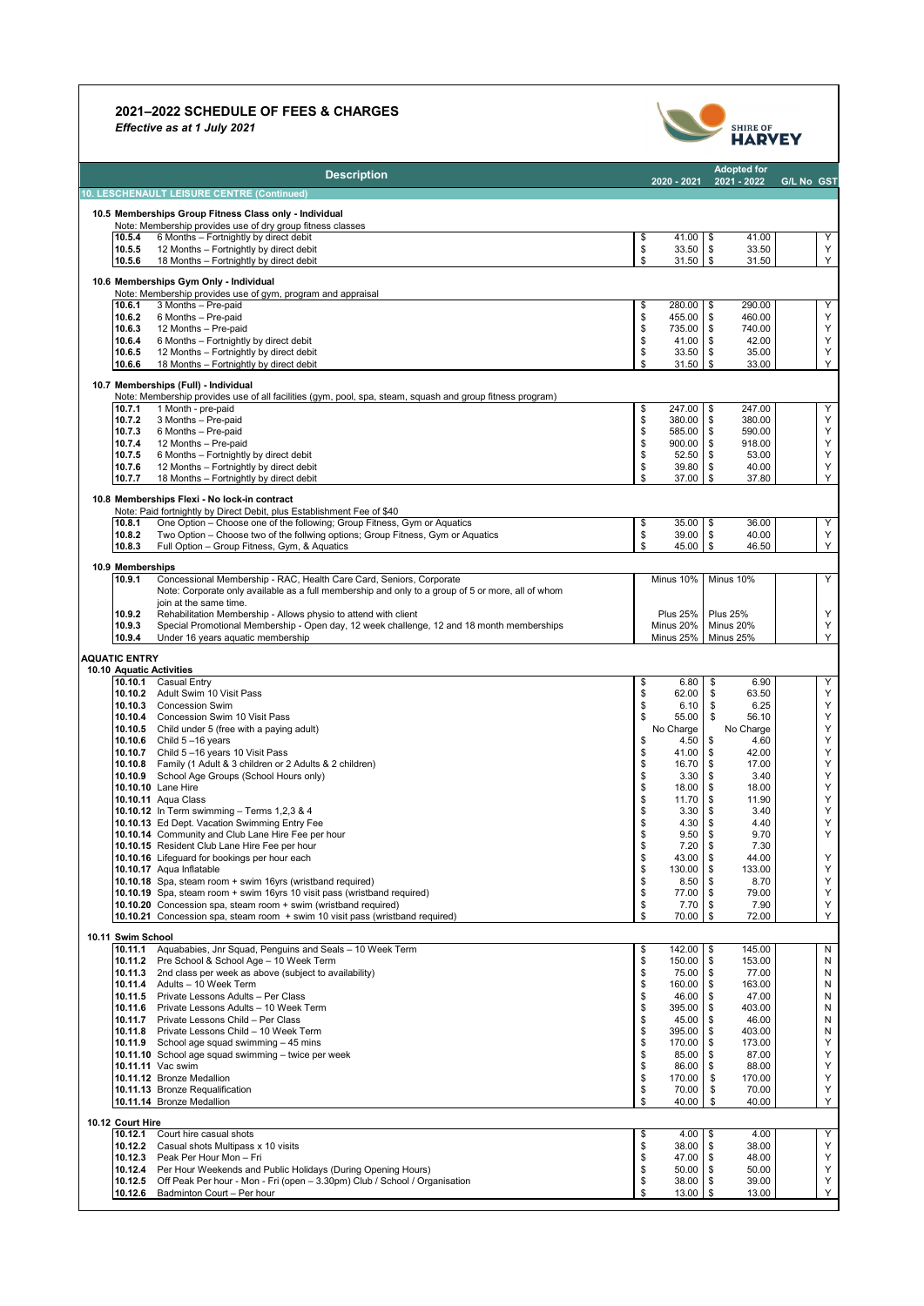

|                                                  | <b>Description</b>                                                                                                                          |          |                  | <b>Adopted for</b>           |            |
|--------------------------------------------------|---------------------------------------------------------------------------------------------------------------------------------------------|----------|------------------|------------------------------|------------|
|                                                  | 10. LESCHENAULT LEISURE CENTRE (Continued)                                                                                                  |          | 2020 - 2021      | $2021 - 2022$                | G/L No GST |
|                                                  | 10.5 Memberships Group Fitness Class only - Individual                                                                                      |          |                  |                              |            |
|                                                  | Note: Membership provides use of dry group fitness classes                                                                                  |          |                  |                              |            |
| 10.5.4<br>10.5.5                                 | 6 Months - Fortnightly by direct debit<br>12 Months - Fortnightly by direct debit                                                           | \$<br>\$ | 41.00<br>33.50   | \$<br>41.00<br>\$<br>33.50   | Υ<br>Υ     |
| 10.5.6                                           | 18 Months - Fortnightly by direct debit                                                                                                     | \$       | 31.50            | \$<br>31.50                  | Υ          |
|                                                  | 10.6 Memberships Gym Only - Individual                                                                                                      |          |                  |                              |            |
| 10.6.1                                           | Note: Membership provides use of gym, program and appraisal<br>3 Months - Pre-paid                                                          | \$       | 280.00           | \$<br>290.00                 | Υ          |
| 10.6.2                                           | 6 Months - Pre-paid                                                                                                                         | \$       | 455.00           | \$<br>460.00                 | Υ          |
| 10.6.3<br>10.6.4                                 | 12 Months - Pre-paid<br>6 Months - Fortnightly by direct debit                                                                              | \$<br>\$ | 735.00<br>41.00  | \$<br>740.00<br>\$<br>42.00  | Υ<br>Υ     |
| 10.6.5                                           | 12 Months - Fortnightly by direct debit                                                                                                     | \$       | 33.50            | \$<br>35.00                  | Υ          |
| 10.6.6                                           | 18 Months - Fortnightly by direct debit                                                                                                     | \$       | 31.50            | \$<br>33.00                  | Y          |
|                                                  | 10.7 Memberships (Full) - Individual                                                                                                        |          |                  |                              |            |
| 10.7.1                                           | Note: Membership provides use of all facilities (gym, pool, spa, steam, squash and group fitness program)<br>1 Month - pre-paid             | \$       | 247.00           | 247.00<br>\$                 | Υ          |
| 10.7.2                                           | 3 Months - Pre-paid                                                                                                                         | \$       | 380.00           | \$<br>380.00                 | Υ          |
| 10.7.3<br>10.7.4                                 | 6 Months - Pre-paid<br>12 Months - Pre-paid                                                                                                 | \$<br>\$ | 585.00<br>900.00 | \$<br>590.00<br>\$<br>918.00 | Υ<br>Υ     |
| 10.7.5                                           | 6 Months - Fortnightly by direct debit                                                                                                      | \$       | 52.50            | \$<br>53.00                  | Υ          |
| 10.7.6<br>10.7.7                                 | 12 Months - Fortnightly by direct debit<br>18 Months - Fortnightly by direct debit                                                          | \$<br>\$ | 39.80<br>37.00   | \$<br>40.00<br>\$<br>37.80   | Υ<br>Υ     |
|                                                  |                                                                                                                                             |          |                  |                              |            |
|                                                  | 10.8 Memberships Flexi - No lock-in contract<br>Note: Paid fortnightly by Direct Debit, plus Establishment Fee of \$40                      |          |                  |                              |            |
| 10.8.1                                           | One Option - Choose one of the following; Group Fitness, Gym or Aquatics                                                                    | \$       | 35.00            | 36.00<br>\$                  | Υ          |
| 10.8.2<br>10.8.3                                 | Two Option – Choose two of the follwing options; Group Fitness, Gym or Aquatics<br>Full Option - Group Fitness, Gym, & Aquatics             | \$<br>\$ | 39.00<br>45.00   | \$<br>40.00<br>\$<br>46.50   | Υ<br>Υ     |
| 10.9 Memberships                                 |                                                                                                                                             |          |                  |                              |            |
| 10.9.1                                           | Concessional Membership - RAC, Health Care Card, Seniors, Corporate                                                                         |          | Minus 10%        | Minus 10%                    | Υ          |
|                                                  | Note: Corporate only available as a full membership and only to a group of 5 or more, all of whom                                           |          |                  |                              |            |
| 10.9.2                                           | join at the same time.<br>Rehabilitation Membership - Allows physio to attend with client                                                   |          | <b>Plus 25%</b>  | <b>Plus 25%</b>              | Υ          |
| 10.9.3                                           | Special Promotional Membership - Open day, 12 week challenge, 12 and 18 month memberships                                                   |          | Minus 20%        | Minus 20%                    | Υ          |
| 10.9.4                                           | Under 16 years aquatic membership                                                                                                           |          | Minus 25%        | Minus 25%                    | Υ          |
| <b>AQUATIC ENTRY</b><br>10.10 Aquatic Activities |                                                                                                                                             |          |                  |                              |            |
| 10.10.1                                          | <b>Casual Entry</b>                                                                                                                         | \$       | 6.80             | 6.90<br>\$                   | Υ          |
| 10.10.3                                          | 10.10.2 Adult Swim 10 Visit Pass<br><b>Concession Swim</b>                                                                                  | \$<br>\$ | 62.00<br>6.10    | \$<br>63.50<br>\$<br>6.25    | Υ<br>Υ     |
|                                                  | 10.10.4 Concession Swim 10 Visit Pass                                                                                                       | \$       | 55.00            | 56.10<br>\$                  | Υ          |
|                                                  | 10.10.5 Child under 5 (free with a paying adult)                                                                                            |          | No Charge        | No Charge                    | Υ          |
| 10.10.7                                          | 10.10.6 Child 5-16 years<br>Child 5-16 years 10 Visit Pass                                                                                  | \$<br>\$ | 4.50<br>41.00    | \$<br>4.60<br>\$<br>42.00    | Υ<br>Υ     |
| 10.10.8                                          | Family (1 Adult & 3 children or 2 Adults & 2 children)                                                                                      | \$       | 16.70            | \$<br>17.00                  | Υ          |
| 10.10.9                                          | School Age Groups (School Hours only)<br>10.10.10 Lane Hire                                                                                 | \$<br>\$ | 3.30<br>18.00    | \$<br>3.40<br>\$<br>18.00    | Υ<br>Υ     |
|                                                  | <b>10.10.11 Aqua Class</b>                                                                                                                  | \$       | 11.70            | \$<br>11.90                  | Υ          |
|                                                  | 10.10.12 In Term swimming - Terms 1,2,3 & 4<br>10.10.13 Ed Dept. Vacation Swimming Entry Fee                                                | \$<br>\$ | 3.30<br>4.30     | \$<br>3.40<br>\$<br>4.40     | Υ<br>Υ     |
|                                                  | 10.10.14 Community and Club Lane Hire Fee per hour                                                                                          | \$       | 9.50             | \$<br>9.70                   | Y          |
|                                                  | 10.10.15 Resident Club Lane Hire Fee per hour                                                                                               | \$       | 7.20             | \$<br>7.30                   |            |
|                                                  | 10.10.16 Lifequard for bookings per hour each<br>10.10.17 Aqua Inflatable                                                                   | \$<br>\$ | 43.00<br>130.00  | 44.00<br>\$<br>\$<br>133.00  | Y<br>Υ     |
|                                                  | 10.10.18 Spa, steam room + swim 16yrs (wristband required)                                                                                  | \$       | 8.50             | \$<br>8.70                   | Υ          |
|                                                  | 10.10.19 Spa, steam room + swim 16yrs 10 visit pass (wristband required)<br>10.10.20 Concession spa, steam room + swim (wristband required) | \$<br>\$ | 77.00<br>7.70    | \$<br>79.00<br>\$<br>7.90    | Υ<br>Υ     |
|                                                  | 10.10.21 Concession spa, steam room + swim 10 visit pass (wristband required)                                                               | \$       | 70.00            | \$<br>72.00                  | Υ          |
| 10.11 Swim School                                |                                                                                                                                             |          |                  |                              |            |
| 10.11.1                                          | Aquababies, Jnr Squad, Penguins and Seals - 10 Week Term                                                                                    | \$       | 142.00           | 145.00<br>\$                 | N          |
| 10.11.2<br>10.11.3                               | Pre School & School Age - 10 Week Term<br>2nd class per week as above (subject to availability)                                             | \$<br>\$ | 150.00<br>75.00  | \$<br>153.00<br>\$<br>77.00  | N<br>N     |
| 10.11.4                                          | Adults - 10 Week Term                                                                                                                       | \$       | 160.00           | \$<br>163.00                 | N          |
|                                                  | 10.11.5 Private Lessons Adults - Per Class<br>10.11.6 Private Lessons Adults - 10 Week Term                                                 | \$<br>\$ | 46.00<br>395.00  | \$<br>47.00<br>\$<br>403.00  | N<br>N     |
|                                                  | 10.11.7 Private Lessons Child - Per Class                                                                                                   | \$       | 45.00            | \$<br>46.00                  | N          |
|                                                  | 10.11.8 Private Lessons Child - 10 Week Term<br>10.11.9 School age squad swimming - 45 mins                                                 | \$<br>\$ | 395.00<br>170.00 | \$<br>403.00<br>\$<br>173.00 | N<br>Υ     |
|                                                  | 10.11.10 School age squad swimming - twice per week                                                                                         | \$       | 85.00            | \$<br>87.00                  | Υ          |
|                                                  | 10.11.11 Vac swim                                                                                                                           | \$       | 86.00            | \$<br>88.00                  | Υ          |
|                                                  | 10.11.12 Bronze Medallion<br>10.11.13 Bronze Requalification                                                                                | \$<br>\$ | 170.00<br>70.00  | 170.00<br>\$<br>70.00<br>\$  | Υ<br>Υ     |
|                                                  | 10.11.14 Bronze Medallion                                                                                                                   | \$       | 40.00            | 40.00<br>\$                  | Υ          |
| 10.12 Court Hire                                 |                                                                                                                                             |          |                  |                              |            |
| 10.12.1                                          | Court hire casual shots<br>10.12.2 Casual shots Multipass x 10 visits                                                                       | \$<br>\$ | 4.00<br>38.00    | 4.00<br>\$<br>\$<br>38.00    | Υ<br>Υ     |
|                                                  | 10.12.3 Peak Per Hour Mon - Fri                                                                                                             | \$       | 47.00            | \$<br>48.00                  | Υ          |
| 10.12.4                                          | Per Hour Weekends and Public Holidays (During Opening Hours)<br>Off Peak Per hour - Mon - Fri (open - 3.30pm) Club / School / Organisation  | \$<br>\$ | 50.00<br>38.00   | \$<br>50.00<br>\$<br>39.00   | Υ<br>Υ     |
| 10.12.5                                          | 10.12.6 Badminton Court - Per hour                                                                                                          | \$       | 13.00            | \$<br>13.00                  | Y          |
|                                                  |                                                                                                                                             |          |                  |                              |            |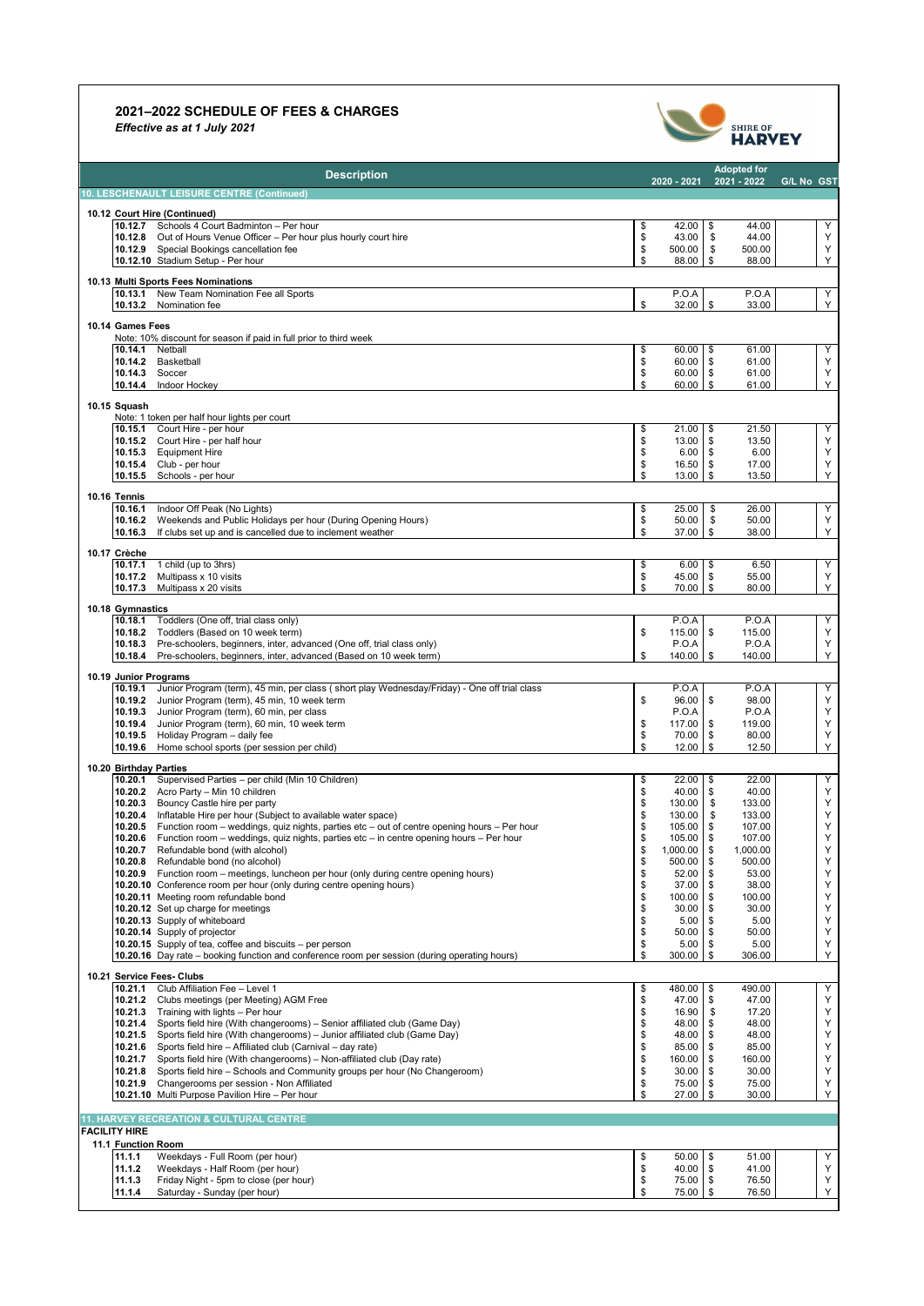

|                              | <b>Description</b>                                                                                                                                                                     |          |                  | <b>Adopted for</b> |                  |            |        |
|------------------------------|----------------------------------------------------------------------------------------------------------------------------------------------------------------------------------------|----------|------------------|--------------------|------------------|------------|--------|
|                              | 10. LESCHENAULT LEISURE CENTRE (Continued)                                                                                                                                             |          | 2020 - 2021      | 2021 - 2022        |                  | G/L No GST |        |
|                              | 10.12 Court Hire (Continued)                                                                                                                                                           |          |                  |                    |                  |            |        |
|                              | 10.12.7 Schools 4 Court Badminton - Per hour<br>10.12.8 Out of Hours Venue Officer - Per hour plus hourly court hire                                                                   | \$<br>\$ | 42.00<br>43.00   | \$<br>-\$          | 44.00<br>44.00   |            | Y<br>Υ |
|                              | 10.12.9 Special Bookings cancellation fee                                                                                                                                              | \$       | 500.00           | \$                 | 500.00           |            | Y      |
|                              | 10.12.10 Stadium Setup - Per hour                                                                                                                                                      | \$       | 88.00            | \$                 | 88.00            |            | Υ      |
|                              | 10.13 Multi Sports Fees Nominations                                                                                                                                                    |          |                  |                    |                  |            |        |
| 10.13.2                      | 10.13.1 New Team Nomination Fee all Sports<br>Nomination fee                                                                                                                           | \$       | P.O.A<br>32.00   | \$                 | P.O.A<br>33.00   |            | Υ<br>Y |
|                              |                                                                                                                                                                                        |          |                  |                    |                  |            |        |
| 10.14 Games Fees             | Note: 10% discount for season if paid in full prior to third week                                                                                                                      |          |                  |                    |                  |            |        |
| <b>10.14.1</b> Netball       |                                                                                                                                                                                        | \$       | 60.00            | \$                 | 61.00            |            | Υ      |
| 10.14.2<br>10.14.3           | Basketball<br>Soccer                                                                                                                                                                   | \$<br>\$ | 60.00<br>60.00   | \$<br>\$           | 61.00<br>61.00   |            | Y<br>Y |
| 10.14.4                      | Indoor Hockey                                                                                                                                                                          | \$       | 60.00            | \$                 | 61.00            |            | Y      |
| 10.15 Squash                 |                                                                                                                                                                                        |          |                  |                    |                  |            |        |
| 10.15.1                      | Note: 1 token per half hour lights per court<br>Court Hire - per hour                                                                                                                  | \$       | 21.00            | \$                 | 21.50            |            | Υ      |
|                              | 10.15.2 Court Hire - per half hour                                                                                                                                                     | \$       | 13.00            | S.                 | 13.50            |            | Y      |
| 10.15.3                      | <b>Equipment Hire</b>                                                                                                                                                                  | \$       | 6.00             | \$                 | 6.00             |            | Y      |
| 10.15.4<br>10.15.5           | Club - per hour<br>Schools - per hour                                                                                                                                                  | \$<br>\$ | 16.50<br>13.00   | \$<br>\$           | 17.00<br>13.50   |            | Y<br>Υ |
| 10.16 Tennis                 |                                                                                                                                                                                        |          |                  |                    |                  |            |        |
| 10.16.1                      | Indoor Off Peak (No Lights)                                                                                                                                                            | \$       | 25.00            | \$                 | 26.00            |            | Y      |
| 10.16.2<br>10.16.3           | Weekends and Public Holidays per hour (During Opening Hours)<br>If clubs set up and is cancelled due to inclement weather                                                              | \$<br>\$ | 50.00<br>37.00   | \$<br>\$           | 50.00<br>38.00   |            | Y<br>Y |
|                              |                                                                                                                                                                                        |          |                  |                    |                  |            |        |
| 10.17 Crèche<br>10.17.1      | 1 child (up to 3hrs)                                                                                                                                                                   | \$       | 6.00             | \$                 | 6.50             |            | Y      |
| 10.17.2                      | Multipass x 10 visits                                                                                                                                                                  | \$       | 45.00            | \$                 | 55.00            |            | Y      |
| 10.17.3                      | Multipass x 20 visits                                                                                                                                                                  | \$       | 70.00            | \$                 | 80.00            |            | Y      |
| 10.18 Gymnastics             |                                                                                                                                                                                        |          |                  |                    |                  |            |        |
| 10.18.1<br>10.18.2           | Toddlers (One off, trial class only)<br>Toddlers (Based on 10 week term)                                                                                                               | \$       | P.O.A<br>115.00  | \$                 | P.O.A<br>115.00  |            | Y<br>Y |
| 10.18.3                      | Pre-schoolers, beginners, inter, advanced (One off, trial class only)                                                                                                                  |          | P.O.A            |                    | P.O.A            |            | Υ      |
|                              | 10.18.4 Pre-schoolers, beginners, inter, advanced (Based on 10 week term)                                                                                                              | \$       | 140.00           | \$                 | 140.00           |            | Y      |
| 10.19 Junior Programs        |                                                                                                                                                                                        |          |                  |                    |                  |            |        |
| 10.19.1<br>10.19.2           | Junior Program (term), 45 min, per class (short play Wednesday/Friday) - One off trial class<br>Junior Program (term), 45 min, 10 week term                                            | \$       | P.O.A<br>96.00   | \$                 | P.O.A<br>98.00   |            | Υ<br>Υ |
| 10.19.3                      | Junior Program (term), 60 min, per class                                                                                                                                               |          | P.O.A            |                    | P.O.A            |            | Y      |
| 10.19.4<br>10.19.5           | Junior Program (term), 60 min, 10 week term<br>Holiday Program - daily fee                                                                                                             | \$<br>\$ | 117.00<br>70.00  | \$<br>\$           | 119.00<br>80.00  |            | Y<br>Y |
| 10.19.6                      | Home school sports (per session per child)                                                                                                                                             | \$       | 12.00            | \$                 | 12.50            |            | Y      |
| 10.20 Birthday Parties       |                                                                                                                                                                                        |          |                  |                    |                  |            |        |
| 10.20.1                      | Supervised Parties - per child (Min 10 Children)                                                                                                                                       | \$       | 22.00            | \$                 | 22.00            |            | Υ      |
| 10.20.3                      | 10.20.2 Acro Party - Min 10 children<br>Bouncy Castle hire per party                                                                                                                   | \$<br>\$ | 40.00<br>130.00  | \$<br>\$           | 40.00<br>133.00  |            | Υ<br>Υ |
| 10.20.4                      | Inflatable Hire per hour (Subject to available water space)                                                                                                                            | \$       | 130.00           | -\$                | 133.00           |            | Y      |
| 10.20.5<br>10.20.6           | Function room – weddings, quiz nights, parties etc – out of centre opening hours – Per hour<br>Function room - weddings, quiz nights, parties etc - in centre opening hours - Per hour | \$<br>\$ | 105.00<br>105.00 | \$<br>\$           | 107.00<br>107.00 |            | Y<br>Y |
| 10.20.7                      | Refundable bond (with alcohol)                                                                                                                                                         | \$       | 1,000.00         | \$                 | 1,000.00         |            | Υ      |
|                              | 10.20.8 Refundable bond (no alcohol)                                                                                                                                                   | \$       | 500.00           | \$                 | 500.00           |            | Υ      |
| 10.20.9                      | Function room – meetings, luncheon per hour (only during centre opening hours)<br>10.20.10 Conference room per hour (only during centre opening hours)                                 | \$<br>\$ | 52.00<br>37.00   | \$<br>\$           | 53.00<br>38.00   |            | Y<br>Υ |
|                              | 10.20.11 Meeting room refundable bond                                                                                                                                                  | \$       | 100.00           | \$                 | 100.00           |            | Y      |
|                              | 10.20.12 Set up charge for meetings<br>10.20.13 Supply of whiteboard                                                                                                                   | \$<br>\$ | 30.00<br>5.00    | \$<br>\$           | 30.00<br>5.00    |            | Υ<br>Y |
|                              | 10.20.14 Supply of projector                                                                                                                                                           | \$       | 50.00            | \$                 | 50.00            |            | Υ      |
|                              | 10.20.15 Supply of tea, coffee and biscuits - per person                                                                                                                               | \$       | 5.00             | \$                 | 5.00             |            | Υ      |
|                              | 10.20.16 Day rate – booking function and conference room per session (during operating hours)                                                                                          | \$       | 300.00           | \$                 | 306.00           |            | Y      |
| 10.21.1                      | 10.21 Service Fees- Clubs<br>Club Affiliation Fee - Level 1                                                                                                                            | \$       | 480.00           | \$                 | 490.00           |            | Y      |
| 10.21.2                      | Clubs meetings (per Meeting) AGM Free                                                                                                                                                  | \$       | 47.00            | \$                 | 47.00            |            | Υ      |
| 10.21.3<br>10.21.4           | Training with lights - Per hour<br>Sports field hire (With changerooms) - Senior affiliated club (Game Day)                                                                            | \$       | 16.90            | \$                 | 17.20            |            | Υ<br>Y |
| 10.21.5                      | Sports field hire (With changerooms) - Junior affiliated club (Game Day)                                                                                                               | \$<br>\$ | 48.00<br>48.00   | \$<br>\$           | 48.00<br>48.00   |            | Υ      |
| 10.21.6                      | Sports field hire - Affiliated club (Carnival - day rate)                                                                                                                              | \$       | 85.00            | \$                 | 85.00            |            | Y      |
| 10.21.7<br>10.21.8           | Sports field hire (With changerooms) - Non-affiliated club (Day rate)<br>Sports field hire - Schools and Community groups per hour (No Changeroom)                                     | \$<br>\$ | 160.00<br>30.00  | \$<br>\$           | 160.00<br>30.00  |            | Y<br>Y |
| 10.21.9                      | Changerooms per session - Non Affiliated                                                                                                                                               | \$       | 75.00            | \$                 | 75.00            |            | Υ      |
|                              | 10.21.10 Multi Purpose Pavilion Hire - Per hour                                                                                                                                        | \$       | 27.00            | \$                 | 30.00            |            | Y      |
|                              | 11. HARVEY RECREATION & CULTURAL CENTRE                                                                                                                                                |          |                  |                    |                  |            |        |
| <b>FACILITY HIRE</b>         |                                                                                                                                                                                        |          |                  |                    |                  |            |        |
| 11.1 Function Room<br>11.1.1 | Weekdays - Full Room (per hour)                                                                                                                                                        | \$       | 50.00            | \$                 | 51.00            |            | Υ      |
| 11.1.2                       | Weekdays - Half Room (per hour)                                                                                                                                                        | \$       | 40.00            | \$                 | 41.00            |            | Υ      |
| 11.1.3<br>11.1.4             | Friday Night - 5pm to close (per hour)<br>Saturday - Sunday (per hour)                                                                                                                 | \$<br>\$ | 75.00<br>75.00   | \$<br>\$           | 76.50<br>76.50   |            | Y<br>Y |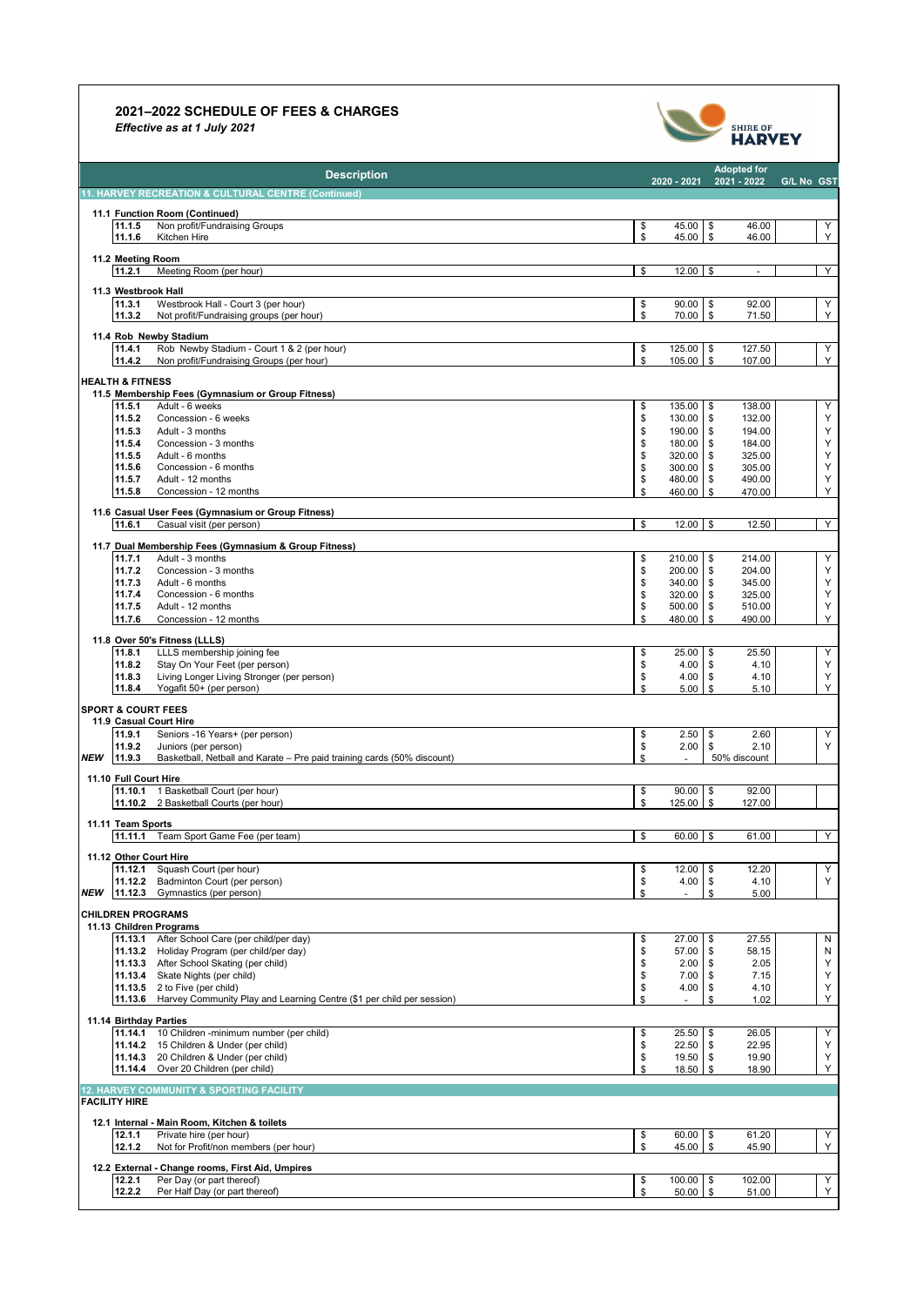

|            |                                | <b>Description</b>                                                                 |          | 2020 - 2021          | <b>Adopted for</b><br>2021 - 2022 | G/L No GST |
|------------|--------------------------------|------------------------------------------------------------------------------------|----------|----------------------|-----------------------------------|------------|
|            |                                | 11. HARVEY RECREATION & CULTURAL CENTRE (Continued)                                |          |                      |                                   |            |
|            | 11.1.5<br>11.1.6               | 11.1 Function Room (Continued)<br>Non profit/Fundraising Groups<br>Kitchen Hire    | \$<br>\$ | 45.00<br>45.00       | \$<br>46.00<br>\$<br>46.00        | Υ<br>Υ     |
|            | 11.2 Meeting Room              |                                                                                    |          |                      |                                   |            |
|            | 11.2.1                         | Meeting Room (per hour)                                                            | \$       | $12.00$ \$           | ä,                                | Y          |
|            | 11.3 Westbrook Hall<br>11.3.1  | Westbrook Hall - Court 3 (per hour)                                                | \$       | 90.00                | \$<br>92.00                       | Υ          |
|            | 11.3.2                         | Not profit/Fundraising groups (per hour)                                           | \$       | 70.00                | \$<br>71.50                       | Y          |
|            | 11.4.1                         | 11.4 Rob Newby Stadium<br>Rob Newby Stadium - Court 1 & 2 (per hour)               |          | 125.00               | 127.50<br>\$                      | Υ          |
|            | 11.4.2                         | Non profit/Fundraising Groups (per hour)                                           | \$<br>\$ | 105.00               | \$<br>107.00                      | Y          |
|            | <b>HEALTH &amp; FITNESS</b>    |                                                                                    |          |                      |                                   |            |
|            | 11.5.1                         | 11.5 Membership Fees (Gymnasium or Group Fitness)<br>Adult - 6 weeks               | \$       | 135.00               | \$<br>138.00                      | Y          |
|            | 11.5.2                         | Concession - 6 weeks                                                               | \$       | 130.00               | \$<br>132.00                      | Y          |
|            | 11.5.3<br>11.5.4               | Adult - 3 months<br>Concession - 3 months                                          | \$<br>\$ | 190.00<br>180.00     | 194.00<br>\$<br>184.00<br>\$      | Y<br>Y     |
|            | 11.5.5                         | Adult - 6 months                                                                   | \$       | 320.00               | 325.00<br>\$                      | Y          |
|            | 11.5.6                         | Concession - 6 months                                                              | \$       | 300.00               | 305.00<br>\$                      | Y          |
|            | 11.5.7<br>11.5.8               | Adult - 12 months<br>Concession - 12 months                                        | \$<br>\$ | 480.00<br>460.00     | 490.00<br>\$<br>\$<br>470.00      | Υ<br>Y     |
|            |                                | 11.6 Casual User Fees (Gymnasium or Group Fitness)                                 |          |                      |                                   |            |
|            | 11.6.1                         | Casual visit (per person)                                                          | \$       | $12.00$ \$           | 12.50                             | Y          |
|            | 11.7.1                         | 11.7 Dual Membership Fees (Gymnasium & Group Fitness)<br>Adult - 3 months          |          |                      |                                   |            |
|            | 11.7.2                         | Concession - 3 months                                                              | \$<br>\$ | 210.00<br>200.00     | 214.00<br>\$<br>204.00<br>\$      | Υ<br>Y     |
|            | 11.7.3                         | Adult - 6 months                                                                   | \$       | 340.00               | 345.00<br>\$                      | Y          |
|            | 11.7.4                         | Concession - 6 months                                                              | \$       | 320.00               | 325.00<br>\$                      | Y          |
|            | 11.7.5<br>11.7.6               | Adult - 12 months<br>Concession - 12 months                                        | \$<br>\$ | 500.00<br>480.00     | 510.00<br>\$<br>\$<br>490.00      | Y<br>Υ     |
|            |                                | 11.8 Over 50's Fitness (LLLS)                                                      |          |                      |                                   |            |
|            | 11.8.1                         | LLLS membership joining fee                                                        | \$       | 25.00                | 25.50<br>\$                       | Y          |
|            | 11.8.2<br>11.8.3               | Stay On Your Feet (per person)<br>Living Longer Living Stronger (per person)       | \$<br>\$ | 4.00<br>4.00         | 4.10<br>\$<br>\$<br>4.10          | Y<br>Υ     |
|            | 11.8.4                         | Yogafit 50+ (per person)                                                           | \$       | 5.00                 | \$<br>5.10                        | Υ          |
|            | <b>ISPORT &amp; COURT FEES</b> |                                                                                    |          |                      |                                   |            |
|            | 11.9.1                         | 11.9 Casual Court Hire<br>Seniors -16 Years+ (per person)                          |          | 2.50                 | \$<br>2.60                        | Υ          |
|            | 11.9.2                         | Juniors (per person)                                                               | \$<br>\$ | 2.00                 | \$<br>2.10                        | Y          |
| <b>NEW</b> | 11.9.3                         | Basketball, Netball and Karate - Pre paid training cards (50% discount)            | \$       |                      | 50% discount                      |            |
|            | 11.10 Full Court Hire          |                                                                                    |          |                      |                                   |            |
|            |                                | 11.10.1 1 Basketball Court (per hour)<br>11.10.2 2 Basketball Courts (per hour)    | \$<br>\$ | 90.00<br>125.00      | 92.00<br>\$<br>\$<br>127.00       |            |
|            | 11.11 Team Sports              |                                                                                    |          |                      |                                   |            |
|            | 11.11.1                        | Team Sport Game Fee (per team)                                                     | \$       | 60.00 \$             | 61.00                             | Y          |
|            | 11.12 Other Court Hire         |                                                                                    |          |                      | 12.20                             |            |
|            | 11.12.1<br>11.12.2             | Squash Court (per hour)<br>Badminton Court (per person)                            | \$<br>\$ | 12.00<br>4.00        | \$<br>4.10<br>\$                  | Υ<br>Y     |
| NEW        | 11.12.3                        | Gymnastics (per person)                                                            | \$       |                      | 5.00<br>\$                        |            |
|            | <b>CHILDREN PROGRAMS</b>       |                                                                                    |          |                      |                                   |            |
|            |                                | 11.13 Children Programs<br>11.13.1 After School Care (per child/per day)           | \$       | 27.00                | 27.55<br>\$                       | ${\sf N}$  |
|            |                                | 11.13.2 Holiday Program (per child/per day)                                        | \$       | 57.00                | 58.15<br>\$                       | N          |
|            |                                | 11.13.3 After School Skating (per child)                                           | \$       | 2.00                 | 2.05<br>\$                        | Υ          |
|            | 11.13.4                        | Skate Nights (per child)<br>11.13.5 2 to Five (per child)                          | \$<br>\$ | 7.00<br>4.00         | 7.15<br>\$<br>4.10<br>\$          | Υ<br>Υ     |
|            |                                | 11.13.6 Harvey Community Play and Learning Centre (\$1 per child per session)      | \$       |                      | 1.02<br>\$                        | Y          |
|            | 11.14 Birthday Parties         |                                                                                    |          |                      |                                   |            |
|            |                                | 11.14.1 10 Children -minimum number (per child)                                    | \$       | 25.50                | 26.05<br>\$                       | Υ          |
|            |                                | 11.14.2 15 Children & Under (per child)<br>11.14.3 20 Children & Under (per child) | \$<br>\$ | 22.50<br>19.50       | 22.95<br>\$<br>19.90<br>\$        | Y<br>Υ     |
|            |                                | 11.14.4 Over 20 Children (per child)                                               | \$       | 18.50                | \$<br>18.90                       | Y          |
|            |                                | <b>12. HARVEY COMMUNITY &amp; SPORTING FACILITY</b>                                |          |                      |                                   |            |
|            | <b>FACILITY HIRE</b>           |                                                                                    |          |                      |                                   |            |
|            | 12.1.1                         | 12.1 Internal - Main Room, Kitchen & toilets<br>Private hire (per hour)            | \$       | 60.00                | 61.20<br>\$                       | Υ          |
|            | 12.1.2                         | Not for Profit/non members (per hour)                                              | \$       | 45.00                | 45.90<br>\$                       | Y          |
|            |                                | 12.2 External - Change rooms, First Aid, Umpires                                   |          |                      |                                   | Y          |
|            | 12.2.1<br>12.2.2               | Per Day (or part thereof)<br>Per Half Day (or part thereof)                        | \$<br>\$ | $100.00$ \$<br>50.00 | 102.00<br>\$<br>51.00             | Y          |
|            |                                |                                                                                    |          |                      |                                   |            |